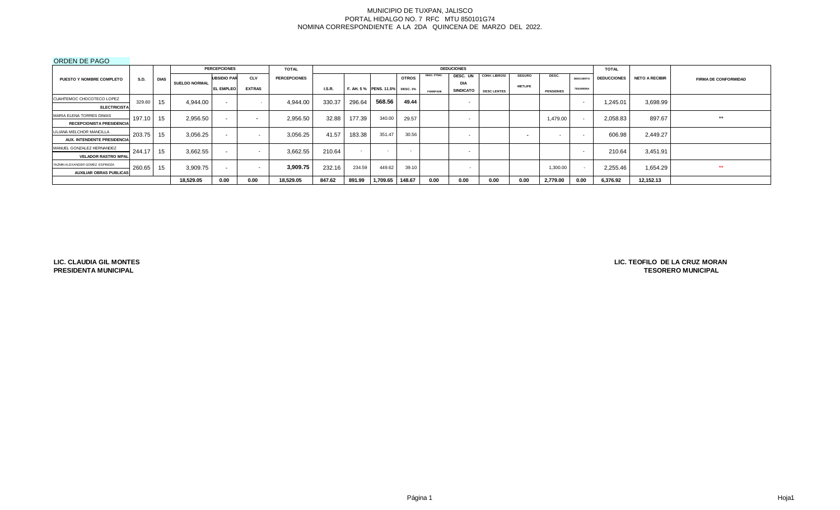#### ORDEN DE PAGO

|                                    |             |             |                      | <b>PERCEPCIONES</b> |                          | <b>TOTAL</b>        |        |        |                                |              |                 | <b>DEDUCIONES</b>        |                      |                |                  |                  | <b>TOTAL</b>       |                       |                             |
|------------------------------------|-------------|-------------|----------------------|---------------------|--------------------------|---------------------|--------|--------|--------------------------------|--------------|-----------------|--------------------------|----------------------|----------------|------------------|------------------|--------------------|-----------------------|-----------------------------|
| <b>PUESTO Y NOMBRE COMPLETO</b>    | <b>S.D.</b> | <b>DIAS</b> |                      | <b>UBSIDIO PAR</b>  | <b>CLV</b>               | <b>PERCEPCIONES</b> |        |        |                                | <b>OTROS</b> | DESC. PTMO.     | DESC. UN                 | <b>CONV. LIBROS/</b> | <b>SEGURO</b>  | DESC.            | <b>DESCUENTO</b> | <b>DEDUCCIONES</b> | <b>NETO A RECIBIR</b> | <b>FIRMA DE CONFORMIDAD</b> |
|                                    |             |             | <b>SUELDO NORMAL</b> | <b>EL EMPLEO</b>    | <b>EXTRAS</b>            |                     | LS.R.  |        | F. AH. 5% PENS. 11.5% DESC. 1% |              |                 | <b>DIA</b>               |                      | <b>METLIFE</b> |                  | <b>TESORERIA</b> |                    |                       |                             |
|                                    |             |             |                      |                     |                          |                     |        |        |                                |              | <b>FOMEPADE</b> | <b>SINDICATO</b>         | <b>DESC LENTES</b>   |                | <b>PENSIONES</b> |                  |                    |                       |                             |
| CUAHTEMOC CHOCOTECO LOPEZ          | 329.60      | 15          | 4.944.00             | $\sim$              |                          | 4,944.00            | 330.37 | 296.64 | 568.56                         | 49.44        |                 | $\overline{\phantom{0}}$ |                      |                |                  |                  | 245.01,            | 3,698.99              |                             |
| <b>ELECTRICISTA</b>                |             |             |                      |                     |                          |                     |        |        |                                |              |                 |                          |                      |                |                  |                  |                    |                       |                             |
| MARIA ELENA TORRES DIMAS           | 197.10 15   |             | 2.956.50             | $\sim$              | $\overline{\phantom{a}}$ | 2,956.50            | 32.88  | 177.39 | 340.00                         | 29.57        |                 | $\overline{\phantom{0}}$ |                      |                | 1,479.00         |                  | 2,058.83           | 897.67                | **                          |
| <b>RECEPCIONISTA PRESIDENCIA</b>   |             |             |                      |                     |                          |                     |        |        |                                |              |                 |                          |                      |                |                  |                  |                    |                       |                             |
| LILIANA MELCHOR MANCILLA           | 203.75      | $\vert$ 15  | 3,056.25             | $\sim$              | $\overline{\phantom{0}}$ | 3,056.25            | 41.57  | 183.38 | 351.47                         | 30.56        |                 | $\overline{\phantom{0}}$ |                      | $\sim$         | . .              | $\sim$           | 606.98             | 2,449.27              |                             |
| <b>AUX. INTENDENTE PRESIDENCIA</b> |             |             |                      |                     |                          |                     |        |        |                                |              |                 |                          |                      |                |                  |                  |                    |                       |                             |
| MANUEL GONZALEZ HERNANDEZ          | 244.17      | $\vert$ 15  | 3,662.55             | $\sim$              | $\overline{\phantom{0}}$ | 3,662.55            | 210.64 |        |                                | $\sim$       |                 | $\overline{\phantom{0}}$ |                      |                |                  | $\sim$           | 210.64             | 3,451.91              |                             |
| <b>VELADOR RASTRO MPAL</b>         |             |             |                      |                     |                          |                     |        |        |                                |              |                 |                          |                      |                |                  |                  |                    |                       |                             |
| YAZMIN ALEXANDER GOMEZ ESPINOZA    | 260.65 15   |             | 3,909.75             | $\sim$              | $\overline{\phantom{a}}$ | 3,909.75            | 232.16 | 234.59 | 449.62                         | 39.10        |                 | . .                      |                      |                | 1,300.00         |                  | 2,255.46           | 1,654.29              | **                          |
| <b>AUXILIAR OBRAS PUBLICAS</b>     |             |             |                      |                     |                          |                     |        |        |                                |              |                 |                          |                      |                |                  |                  |                    |                       |                             |
|                                    |             |             | 18,529.05            | 0.00                | 0.00                     | 18,529.05           | 847.62 | 891.99 | 1,709.65                       | 148.67       | 0.00            | 0.00                     | 0.00                 | 0.00           | 2,779.00         | 0.00             | 6,376.92           | 12,152.13             |                             |

**LIC. CLAUDIA GIL MONTES PRESIDENTA MUNICIPAL**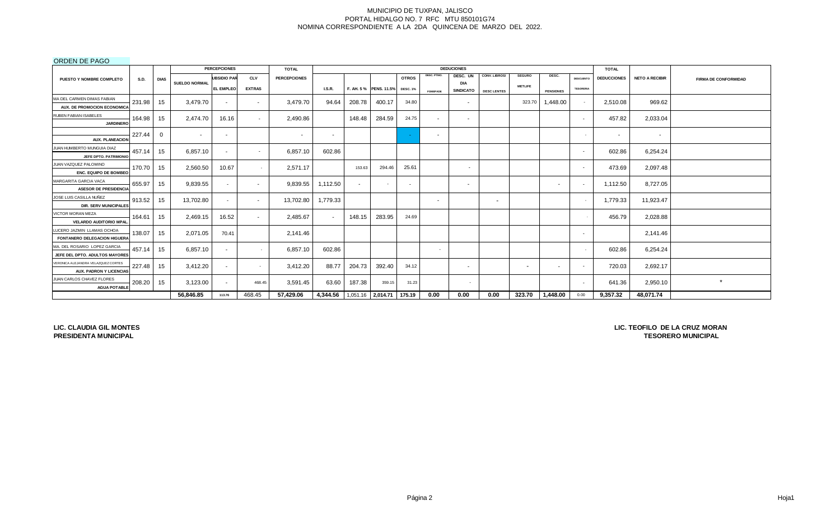## ORDEN DE PAGO

|                                     |             |             |                      | <b>PERCEPCIONES</b> |               | <b>TOTAL</b>        |                                         |        |                        |                          |                 | <b>DEDUCIONES</b>        |                          |                          |                          |                          | <b>TOTAL</b>       |                       |                             |
|-------------------------------------|-------------|-------------|----------------------|---------------------|---------------|---------------------|-----------------------------------------|--------|------------------------|--------------------------|-----------------|--------------------------|--------------------------|--------------------------|--------------------------|--------------------------|--------------------|-----------------------|-----------------------------|
| PUESTO Y NOMBRE COMPLETO            | <b>S.D.</b> | <b>DIAS</b> |                      | <b>UBSIDIO PAR</b>  | <b>CLV</b>    | <b>PERCEPCIONES</b> |                                         |        |                        | <b>OTROS</b>             | DESC. PTMO.     | DESC. UN                 | CONV. LIBROS/            | <b>SEGURO</b>            | DESC.                    | <b>DESCUENTO</b>         | <b>DEDUCCIONES</b> | <b>NETO A RECIBIR</b> | <b>FIRMA DE CONFORMIDAD</b> |
|                                     |             |             | <b>SUELDO NORMAL</b> | <b>EL EMPLEO</b>    | <b>EXTRAS</b> |                     | LS.R.                                   |        | F. AH. 5 % PENS. 11.5% | <b>DESC. 1%</b>          |                 | DIA<br><b>SINDICATO</b>  |                          | <b>METLIFE</b>           |                          | <b>TESORERIA</b>         |                    |                       |                             |
| MA DEL CARMEN DIMAS FABIAN          |             |             |                      |                     |               |                     |                                         |        |                        |                          | <b>FOMEPADE</b> |                          | <b>DESC LENTES</b>       |                          | <b>PENSIONES</b>         |                          |                    |                       |                             |
| AUX. DE PROMOCION ECONOMICA         | 231.98      | 15          | 3,479.70             | $\sim$              | $\sim$        | 3,479.70            | 94.64                                   | 208.78 | 400.17                 | 34.80                    |                 | $\sim$                   |                          | 323.70                   | 1,448.00                 | $\sim$                   | 2,510.08           | 969.62                |                             |
| RUBEN FABIAN ISABELES               |             |             |                      |                     |               |                     |                                         |        |                        |                          |                 |                          |                          |                          |                          |                          |                    |                       |                             |
| <b>JARDINERO</b>                    | 164.98      | 15          | 2.474.70             | 16.16               | $\sim$        | 2,490.86            |                                         | 148.48 | 284.59                 | 24.75                    | $\sim$          | $\sim$                   |                          |                          |                          | $\overline{\phantom{0}}$ | 457.82             | 2,033.04              |                             |
|                                     |             |             |                      |                     |               |                     |                                         |        |                        |                          |                 |                          |                          |                          |                          |                          |                    |                       |                             |
| <b>AUX. PLANEACION</b>              | 227.44      | $\Omega$    |                      | $\sim$              |               | $\sim$              | $\sim$                                  |        |                        |                          | $\sim$          |                          |                          |                          |                          |                          | $\sim$             | $\sim$                |                             |
| JUAN HUMBERTO MUNGUIA DIAZ          | 457.14      | 15          | 6,857.10             | $\sim$              | $\sim$        | 6,857.10            | 602.86                                  |        |                        |                          |                 |                          |                          |                          |                          | $\sim$                   | 602.86             | 6,254.24              |                             |
| JEFE DPTO. PATRIMONIC               |             |             |                      |                     |               |                     |                                         |        |                        |                          |                 |                          |                          |                          |                          |                          |                    |                       |                             |
| JUAN VAZQUEZ PALOMINO               | 170.70      | 15          | 2,560.50             | 10.67               |               | 2,571.17            |                                         | 153.63 | 294.46                 | 25.61                    |                 | $\overline{\phantom{a}}$ |                          |                          |                          | $\overline{\phantom{a}}$ | 473.69             | 2,097.48              |                             |
| <b>ENC. EQUIPO DE BOMBEO</b>        |             |             |                      |                     |               |                     |                                         |        |                        |                          |                 |                          |                          |                          |                          |                          |                    |                       |                             |
| MARGARITA GARCIA VACA               | 655.97      | 15          | 9,839.55             | $\sim$              | $\sim$        | 9,839.55            | 1,112.50                                | $\sim$ |                        | $\overline{\phantom{a}}$ |                 | $\sim$                   |                          |                          | $\overline{\phantom{0}}$ | $\overline{\phantom{0}}$ | 1,112.50           | 8,727.05              |                             |
| <b>ASESOR DE PRESIDENCIA</b>        |             |             |                      |                     |               |                     |                                         |        |                        |                          |                 |                          |                          |                          |                          |                          |                    |                       |                             |
| JOSE LUIS CASILLA NUÑEZ             | 913.52      | 15          | 13,702.80            | $\sim$              | $\sim$        | 13,702.80           | 1,779.33                                |        |                        |                          | $\sim$          |                          | $\overline{\phantom{a}}$ |                          |                          |                          | 1,779.33           | 11,923.47             |                             |
| <b>DIR. SERV MUNICIPALES</b>        |             |             |                      |                     |               |                     |                                         |        |                        |                          |                 |                          |                          |                          |                          |                          |                    |                       |                             |
| VICTOR MORAN MEZA                   | 164.61      | 15          | 2,469.15             | 16.52               | $\sim$        | 2,485.67            | $\sim$                                  | 148.15 | 283.95                 | 24.69                    |                 |                          |                          |                          |                          |                          | 456.79             | 2,028.88              |                             |
| <b>VELARDO AUDITORIO MPAL</b>       |             |             |                      |                     |               |                     |                                         |        |                        |                          |                 |                          |                          |                          |                          |                          |                    |                       |                             |
| LUCERO JAZMIN LLAMAS OCHOA          | 138.07      | 15          | 2,071.05             | 70.41               |               | 2,141.46            |                                         |        |                        |                          |                 |                          |                          |                          |                          | $\overline{\phantom{0}}$ |                    | 2,141.46              |                             |
| FONTANERO DELEGACION HIGUER/        |             |             |                      |                     |               |                     |                                         |        |                        |                          |                 |                          |                          |                          |                          |                          |                    |                       |                             |
| MA. DEL ROSARIO LOPEZ GARCIA        | 457.14      | 15          | 6,857.10             | $\sim$              |               | 6,857.10            | 602.86                                  |        |                        |                          | $\sim$          |                          |                          |                          |                          |                          | 602.86             | 6,254.24              |                             |
| JEFE DEL DPTO, ADULTOS MAYORES      |             |             |                      |                     |               |                     |                                         |        |                        |                          |                 |                          |                          |                          |                          |                          |                    |                       |                             |
| VERONICA ALEJANDRA VELAZQUEZ CORTES | 227.48      | 15          | 3,412.20             | $\sim$              | $\sim$        | 3,412.20            | 88.77                                   | 204.73 | 392.40                 | 34.12                    |                 | $\sim$                   |                          | $\overline{\phantom{a}}$ | $\sim$                   | $\sim$                   | 720.03             | 2,692.17              |                             |
| <b>AUX. PADRON Y LICENCIAS</b>      |             |             |                      |                     |               |                     |                                         |        |                        |                          |                 |                          |                          |                          |                          |                          |                    |                       |                             |
| JUAN CARLOS CHAVEZ FLORES           | 208.20      | 15          | 3,123.00             | $\sim$              | 468.45        | 3,591.45            | 63.60                                   | 187.38 | 359.15                 | 31.23                    |                 | $\sim$                   |                          |                          |                          | $\overline{\phantom{0}}$ | 641.36             | 2,950.10              | $\star$                     |
| <b>AGUA POTABLE</b>                 |             |             |                      |                     |               |                     |                                         |        |                        |                          |                 |                          |                          |                          |                          |                          |                    |                       |                             |
|                                     |             |             | 56.846.85            | 113.76              | 468.45        | 57,429.06           | 4,344.56   1,051.16   2,014.71   175.19 |        |                        |                          | 0.00            | 0.00                     | 0.00                     | 323.70                   | 1,448.00                 | 0.00                     | 9,357.32           | 48,071.74             |                             |

**LIC. CLAUDIA GIL MONTES PRESIDENTA MUNICIPAL**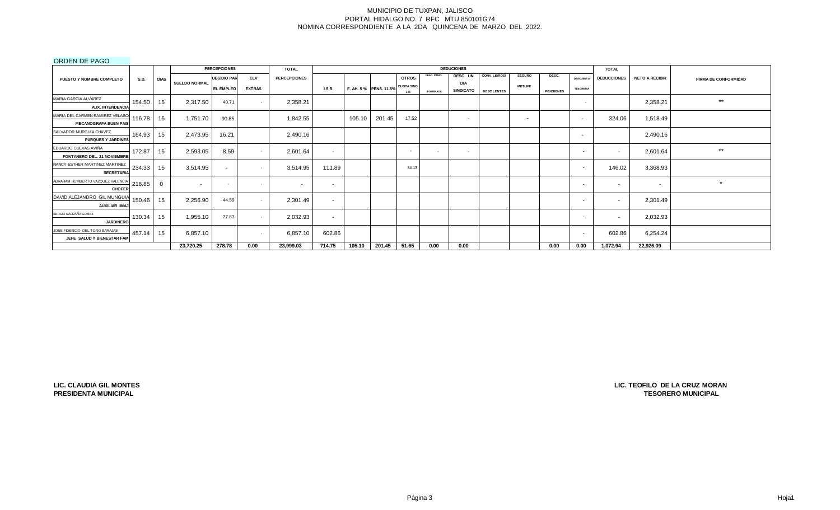## ORDEN DE PAGO

|                                                                            |             |                      | <b>PERCEPCIONES</b> |               | <b>TOTAL</b>        |               |        |                                   |                          |                 | <b>DEDUCIONES</b>       |                    |                          |                  |                          | <b>TOTAL</b>             |                       |                             |
|----------------------------------------------------------------------------|-------------|----------------------|---------------------|---------------|---------------------|---------------|--------|-----------------------------------|--------------------------|-----------------|-------------------------|--------------------|--------------------------|------------------|--------------------------|--------------------------|-----------------------|-----------------------------|
| PUESTO Y NOMBRE COMPLETO<br><b>S.D.</b>                                    | <b>DIAS</b> |                      | <b>UBSIDIO PAR</b>  | <b>CLV</b>    | <b>PERCEPCIONES</b> |               |        |                                   | <b>OTROS</b>             | DESC. PTMO.     | DESC. UN                | CONV. LIBROS/      | <b>SEGURO</b>            | DESC.            | <b>DESCUENTO</b>         | <b>DEDUCCIONES</b>       | <b>NETO A RECIBIR</b> | <b>FIRMA DE CONFORMIDAD</b> |
|                                                                            |             | <b>SUELDO NORMAL</b> | EL EMPLEO           | <b>EXTRAS</b> |                     | <b>I.S.R.</b> |        | F. AH. 5 % PENS. 11.5% CUOTA SIND | $1\%$                    | <b>FOMEPADE</b> | DIA<br><b>SINDICATO</b> | <b>DESC LENTES</b> | <b>METLIFE</b>           | <b>PENSIONES</b> | <b>TESORERIA</b>         |                          |                       |                             |
| MARIA GARCIA ALVAREZ<br>154.50<br><b>AUX. INTENDENCIA</b>                  | 15          | 2,317.50             | 40.71               | $\sim$        | 2,358.21            |               |        |                                   |                          |                 |                         |                    |                          |                  | $\sim$                   |                          | 2,358.21              | $***$                       |
| MARIA DEL CARMEN RAMIREZ VELASCO<br>116.78<br><b>MECANOGRAFA BUEN PAIS</b> | 15          | 1,751.70             | 90.85               |               | 1,842.55            |               | 105.10 | 201.45                            | 17.52                    |                 | $\sim$                  |                    | $\overline{\phantom{a}}$ |                  | $\sim$                   | 324.06                   | 1,518.49              |                             |
| SALVADOR MURGUIA CHAVEZ<br>164.93<br><b>PARQUES Y JARDINES</b>             | 15          | 2,473.95             | 16.21               |               | 2,490.16            |               |        |                                   |                          |                 |                         |                    |                          |                  | $\sim$                   |                          | 2,490.16              |                             |
| EDUARDO CUEVAS AVIÑA<br>172.87<br><b>FONTANERO DEL, 21 NOVIEMBRE</b>       | 15          | 2,593.05             | 8.59                |               | 2,601.64            | $\sim$        |        |                                   | $\overline{\phantom{a}}$ | $\sim$          | $\sim$                  |                    |                          |                  | $\sim$                   | $\overline{\phantom{a}}$ | 2,601.64              | $***$                       |
| NANCY ESTHER MARTINEZ MARTINEZ<br>234.33<br><b>SECRETARIA</b>              | 15          | 3,514.95             | $\sim$              | $\sim$        | 3,514.95            | 111.89        |        |                                   | 34.13                    |                 |                         |                    |                          |                  | $\sim$                   | 146.02                   | 3,368.93              |                             |
| ABRAHAM HUMBERTO VAZQUEZ VALENCIA<br>216.85<br><b>CHOFER</b>               |             |                      | $\sim$              | $\sim$        | <b>CONTRACTOR</b>   | $\sim$        |        |                                   |                          |                 |                         |                    |                          |                  | $\sim$                   | $\sim$                   | $\sim$                | $\star$                     |
| DAVID ALEJANDRO GIL MUNGUIA<br>150.46<br>AUXILIAR IMA                      | 15          | 2,256.90             | 44.59               |               | 2,301.49            | $\sim$        |        |                                   |                          |                 |                         |                    |                          |                  | $\overline{\phantom{a}}$ |                          | 2,301.49              |                             |
| SERGIO SALDAÑA GOMEZ<br>130.34<br><b>JARDINERO</b>                         | 15          | 1,955.10             | 77.83               | $\sim$        | 2,032.93            | $\sim$        |        |                                   |                          |                 |                         |                    |                          |                  | $\overline{\phantom{0}}$ | $\overline{\phantom{a}}$ | 2,032.93              |                             |
| JOSE FIDENCIO DEL TORO BARAJAS<br>457.14<br>JEFE SALUD Y BIENESTAR FAI     | 15          | 6,857.10             |                     | $\sim$        | 6,857.10            | 602.86        |        |                                   |                          |                 |                         |                    |                          |                  | $\sim$                   | 602.86                   | 6,254.24              |                             |
|                                                                            |             | 23,720.25            | 278.78              | 0.00          | 23,999.03           | 714.75        | 105.10 | 201.45                            | 51.65                    | 0.00            | 0.00                    |                    |                          | 0.00             | 0.00                     | 1,072.94                 | 22,926.09             |                             |

**LIC. CLAUDIA GIL MONTES PRESIDENTA MUNICIPAL**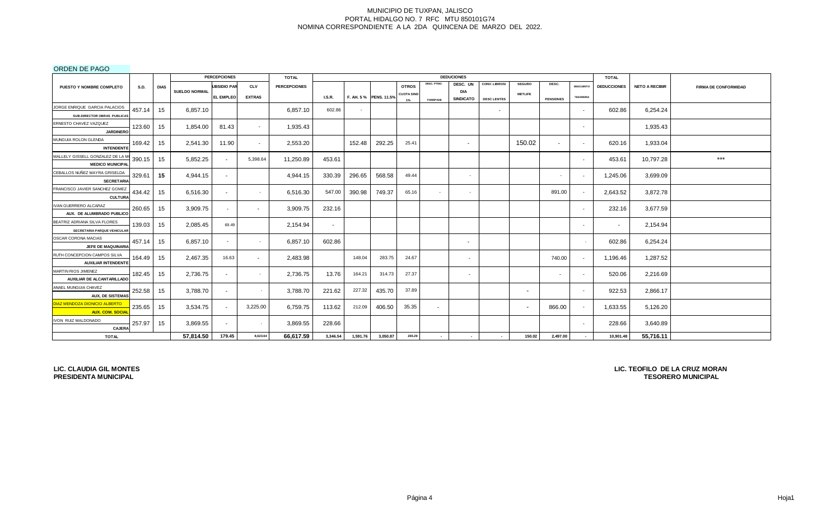ORDEN DE PAGO

| __ _ _ _ _ .                                                          |             |                      | <b>PERCEPCIONES</b> |               | <b>TOTAL</b>        |               |          |                       |                   |                 | <b>DEDUCIONES</b>       |                    |                          |                  |                          | <b>TOTAL</b>       |                       |                             |
|-----------------------------------------------------------------------|-------------|----------------------|---------------------|---------------|---------------------|---------------|----------|-----------------------|-------------------|-----------------|-------------------------|--------------------|--------------------------|------------------|--------------------------|--------------------|-----------------------|-----------------------------|
| <b>S.D.</b><br><b>PUESTO Y NOMBRE COMPLETO</b>                        | <b>DIAS</b> |                      | <b>UBSIDIO PAR</b>  | <b>CLV</b>    | <b>PERCEPCIONES</b> |               |          |                       | <b>OTROS</b>      | DESC. PTMO.     | DESC. UN                | CONV. LIBROS/      | <b>SEGURO</b>            | DESC.            | <b>DESCUENTO</b>         | <b>DEDUCCIONES</b> | <b>NETO A RECIBIR</b> | <b>FIRMA DE CONFORMIDAD</b> |
|                                                                       |             | <b>SUELDO NORMAL</b> | <b>EL EMPLEO</b>    | <b>EXTRAS</b> |                     | <b>I.S.R.</b> |          | F. AH. 5% PENS. 11.5% | <b>CUOTA SIND</b> |                 | DIA<br><b>SINDICATO</b> | <b>DESC LENTES</b> | <b>METLIFE</b>           | <b>PENSIONES</b> | <b>TESORERIA</b>         |                    |                       |                             |
| JORGE ENRIQUE GARCIA PALACIOS                                         |             |                      |                     |               |                     |               |          |                       | $1\%$             | <b>FOMEPADE</b> |                         |                    |                          |                  |                          |                    |                       |                             |
| 457.14<br>SUB-DIRECTOR OBRAS PUBLICAS                                 | 15          | 6,857.10             |                     |               | 6,857.10            | 602.86        | $\sim$   |                       |                   |                 |                         | $\sim$             |                          |                  | $\sim$                   | 602.86             | 6,254.24              |                             |
| ERNESTO CHAVEZ VAZQUEZ<br>123.60<br><b>JARDINERO</b>                  | 15          | 1,854.00             | 81.43               | $\sim$        | 1,935.43            |               |          |                       |                   |                 |                         |                    |                          |                  | $\sim$                   |                    | 1,935.43              |                             |
| MUNGUIA ROLON GLENDA<br>169.42<br><b>INTENDENTE</b>                   | 15          | 2.541.30             | 11.90               | $\sim$        | 2,553.20            |               | 152.48   | 292.25                | 25.41             |                 | $\sim$                  |                    | 150.02                   | $\sim$           | $\sim$                   | 620.16             | 1,933.04              |                             |
| MALLELY GISSELL GONZALEZ DE LA M<br>390.15<br><b>MEDICO MUNICIPAL</b> | 15          | 5,852.25             | $\sim$              | 5,398.64      | 11,250.89           | 453.61        |          |                       |                   |                 |                         |                    |                          |                  | $\sim$                   | 453.61             | 10,797.28             | $***$                       |
| CEBALLOS NUÑEZ MAYRA GRISELDA<br>329.61<br><b>SECRETARIA</b>          | 15          | 4,944.15             | $\sim$              |               | 4,944.15            | 330.39        | 296.65   | 568.58                | 49.44             |                 | $\sim$                  |                    |                          |                  | $\overline{\phantom{a}}$ | 1,245.06           | 3,699.09              |                             |
| FRANCISCO JAVIER SANCHEZ GOMEZ<br>434.42<br><b>CULTURA</b>            | 15          | 6,516.30             | $\sim$              | $\sim$        | 6,516.30            | 547.00        | 390.98   | 749.37                | 65.16             | $\sim$          | $\sim$                  |                    |                          | 891.00           | $\sim$                   | 2,643.52           | 3,872.78              |                             |
| IVAN GUERRERO ALCARAZ<br>260.65<br>AUX. DE ALUMBRADO PUBLICO          | 15          | 3,909.75             | $\sim$              | $\sim$        | 3,909.75            | 232.16        |          |                       |                   |                 |                         |                    |                          |                  | $\sim$                   | 232.16             | 3,677.59              |                             |
| BEATRIZ ADRIANA SILVA FLORES<br>139.03<br>SECRETARIA PARQUE VEHICULAR | 15          | 2,085.45             | 69.49               |               | 2,154.94            | $\sim$        |          |                       |                   |                 |                         |                    |                          |                  | $\sim$                   | $\sim$             | 2,154.94              |                             |
| OSCAR CORONA MACIAS<br>457.14<br>JEFE DE MAQUINARIA                   | 15          | 6,857.10             | $\sim$              |               | 6,857.10            | 602.86        |          |                       |                   |                 | $\sim$                  |                    |                          |                  |                          | 602.86             | 6,254.24              |                             |
| RUTH CONCEPCION CAMPOS SILVA<br>164.49<br><b>AUXILIAR INTENDENTE</b>  | 15          | 2,467.35             | 16.63               | $\sim$        | 2,483.98            |               | 148.04   | 283.75                | 24.67             |                 | $\sim$                  |                    |                          | 740.00           | $\sim$                   | 1,196.46           | 1,287.52              |                             |
| MARTIN RIOS JIMENEZ<br>182.45<br>AUXILIAR DE ALCANTARILLADO           | 15          | 2,736.75             | $\sim$              | $\sim$        | 2,736.75            | 13.76         | 164.21   | 314.73                | 27.37             |                 | $\sim$                  |                    |                          | $\sim$           | $\sim$                   | 520.06             | 2,216.69              |                             |
| ANAEL MUNGUIA CHAVEZ<br>252.58<br><b>AUX, DE SISTEMAS</b>             | 15          | 3,788.70             | $\sim$              |               | 3,788.70            | 221.62        | 227.32   | 435.70                | 37.89             |                 |                         |                    | $\overline{\phantom{a}}$ |                  | $\overline{\phantom{a}}$ | 922.53             | 2,866.17              |                             |
| DIAZ MENDOZA DIONICIO ALBERTO<br>235.65<br><b>AUX. COM. SOCIAL</b>    | 15          | 3,534.75             | $\sim$              | 3,225.00      | 6,759.75            | 113.62        | 212.09   | 406.50                | 35.35             | $\sim$          |                         |                    | $\overline{\phantom{a}}$ | 866.00           | $\sim$                   | 1,633.55           | 5,126.20              |                             |
| IVON RUIZ MALDONADO<br>257.97<br><b>CAJERA</b>                        | 15          | 3,869.55             | $\sim$              | $\sim$        | 3,869.55            | 228.66        |          |                       |                   |                 |                         |                    |                          |                  | $\sim$                   | 228.66             | 3,640.89              |                             |
| <b>TOTAL</b>                                                          |             | 57,814.50            | 179.45              | 8,623.64      | 66,617.59           | 3,346.54      | 1,591.76 | 3,050.87              | 265.29            | $\sim$          | $\sim$                  | $\sim$             | 150.02                   | 2,497.00         | $\sim$                   | 10,901.48          | 55,716.11             |                             |

**LIC. CLAUDIA GIL MONTES PRESIDENTA MUNICIPAL**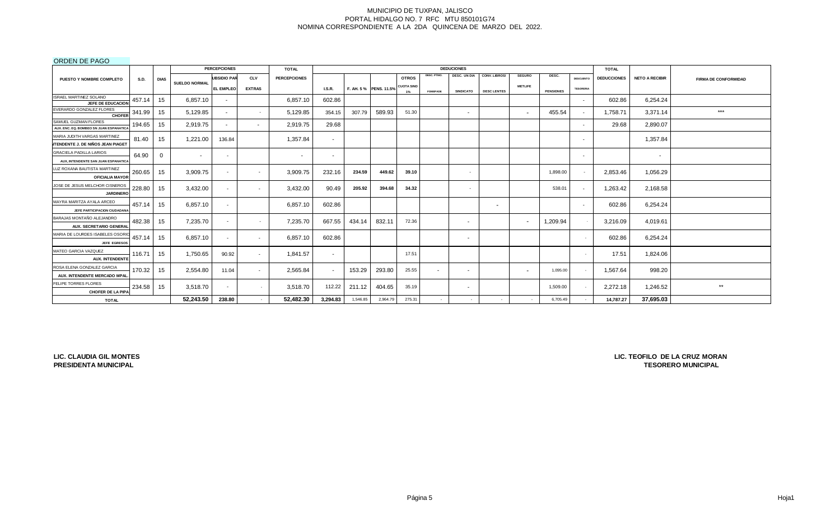ORDEN DE PAGO

|                                                                          |             |             |                      | <b>PERCEPCIONES</b>      |               | <b>TOTAL</b>             |                          |          |                       |                         |                 | <b>DEDUCIONES</b>        |                          |                          |                  |                          | <b>TOTAL</b>       |                       |                             |
|--------------------------------------------------------------------------|-------------|-------------|----------------------|--------------------------|---------------|--------------------------|--------------------------|----------|-----------------------|-------------------------|-----------------|--------------------------|--------------------------|--------------------------|------------------|--------------------------|--------------------|-----------------------|-----------------------------|
| PUESTO Y NOMBRE COMPLETO                                                 | <b>S.D.</b> | <b>DIAS</b> |                      | <b>UBSIDIO PAR</b>       | <b>CLV</b>    | <b>PERCEPCIONES</b>      |                          |          |                       | <b>OTROS</b>            | DESC. PTMO.     | DESC. UN DIA             | CONV. LIBROS/            | <b>SEGURO</b>            | DESC.            | <b>DESCUENTO</b>         | <b>DEDUCCIONES</b> | <b>NETO A RECIBIR</b> | <b>FIRMA DE CONFORMIDAD</b> |
|                                                                          |             |             | <b>SUELDO NORMAL</b> | <b>EL EMPLEO</b>         | <b>EXTRAS</b> |                          | LS.R.                    |          | F. AH. 5% PENS. 11.5% | <b>CUOTA SIND</b><br>1% | <b>FOMEPADE</b> | <b>SINDICATO</b>         | <b>DESC LENTES</b>       | <b>METLIFE</b>           | <b>PENSIONES</b> | <b>TESORERIA</b>         |                    |                       |                             |
| ISRAEL MARTINEZ SOLANO<br>JEFE DE EDUCACION                              | 457.14      | 15          | 6.857.10             |                          |               | 6,857.10                 | 602.86                   |          |                       |                         |                 |                          |                          |                          |                  | $\overline{\phantom{0}}$ | 602.86             | 6,254.24              |                             |
| EVERARDO GONZALEZ FLORES<br><b>CHOFER</b>                                | 341.99      | 15          | 5,129.85             | $\sim$                   | $\sim$        | 5,129.85                 | 354.15                   | 307.79   | 589.93                | 51.30                   |                 | $\sim$                   |                          |                          | 455.54           |                          | 1,758.71           | 3,371.14              | ***                         |
| SAMUEL GUZMAN FLORES<br>AUX. ENC. EQ. BOMBEO SN JUAN ESPANATICA          | 194.65      | 15          | 2,919.75             |                          | $\sim$        | 2,919.75                 | 29.68                    |          |                       |                         |                 |                          |                          |                          |                  |                          | 29.68              | 2,890.07              |                             |
| MARIA JUDITH VARGAS MARTINEZ<br><b>NTENDENTE J. DE NIÑOS JEAN PIAGET</b> | 81.40       | 15          | 1,221.00             | 136.84                   |               | 1,357.84                 | $\overline{\phantom{a}}$ |          |                       |                         |                 |                          |                          |                          |                  | $\overline{\phantom{a}}$ |                    | 1,357.84              |                             |
| <b>GRACIELA PADILLA LARIOS</b><br>AUX. INTENDENTE SAN JUAN ESPANATICA    | 64.90       | 0           | $\sim$               | $\overline{\phantom{a}}$ |               | $\overline{\phantom{a}}$ | $\blacksquare$           |          |                       |                         |                 |                          |                          |                          |                  |                          |                    | $\sim$                |                             |
| LUZ ROXANA BAUTISTA MARTINEZ<br><b>OFICIALIA MAYOR</b>                   | 260.65      | 15          | 3,909.75             | $\overline{\phantom{a}}$ | $\sim$        | 3,909.75                 | 232.16                   | 234.59   | 449.62                | 39.10                   |                 | $\sim$                   |                          |                          | 1,898.00         |                          | 2,853.46           | 1,056.29              |                             |
| JOSE DE JESUS MELCHOR CISNEROS<br><b>JARDINERO</b>                       | 228.80      | 15          | 3,432.00             | $\overline{\phantom{a}}$ | $\sim$        | 3,432.00                 | 90.49                    | 205.92   | 394.68                | 34.32                   |                 | $\sim$                   |                          |                          | 538.01           |                          | 1,263.42           | 2,168.58              |                             |
| MAYRA MARITZA AYALA ARCEO<br>JEFE PARTICIPACION CIUDADANA                | 457.14      | 15          | 6,857.10             | $\sim$                   |               | 6,857.10                 | 602.86                   |          |                       |                         |                 |                          | $\overline{\phantom{0}}$ |                          |                  |                          | 602.86             | 6,254.24              |                             |
| BARAJAS MONTAÑO ALEJANDRO<br>AUX. SECRETARIO GENERAL                     | 482.38      | 15          | 7,235.70             | $\sim$                   | $\sim$        | 7,235.70                 | 667.55                   | 434.14   | 832.11                | 72.36                   |                 | $\sim$                   |                          |                          | 1,209.94         |                          | 3,216.09           | 4,019.61              |                             |
| MARIA DE LOURDES ISABELES OSORI<br><b>JEFE EGRESOS</b>                   | 457.14      | 15          | 6,857.10             | $\sim$                   | $\sim$        | 6,857.10                 | 602.86                   |          |                       |                         |                 | $\overline{\phantom{a}}$ |                          |                          |                  |                          | 602.86             | 6,254.24              |                             |
| MATEO GARCIA VAZQUEZ<br><b>AUX. INTENDENTE</b>                           | 116.71      | 15          | 1,750.65             | 90.92                    | $\sim$        | 1,841.57                 | $\sim$                   |          |                       | 17.51                   |                 |                          |                          |                          |                  |                          | 17.51              | 1,824.06              |                             |
| ROSA ELENA GONZALEZ GARCIA<br>AUX. INTENDENTE MERCADO MPAL               | 170.32      | 15          | 2,554.80             | 11.04                    | $\sim$        | 2,565.84                 |                          | 153.29   | 293.80                | 25.55                   | $\sim$          |                          |                          | $\overline{\phantom{0}}$ | 1,095.00         |                          | 1,567.64           | 998.20                |                             |
| FELIPE TORRES FLORES<br><b>CHOFER DE LA PIPA</b>                         | 234.58      | 15          | 3,518.70             | $\overline{a}$           | $\sim$        | 3,518.70                 | 112.22                   | 211.12   | 404.65                | 35.19                   |                 | . .                      |                          |                          | 1,509.00         |                          | 2,272.18           | 1,246.52              | $**$                        |
| <b>TOTAL</b>                                                             |             |             | 52,243.50            | 238.80                   |               | 52,482.30                | 3,294.83                 | 1,546.85 | 2,964.79              | 275.31                  |                 |                          |                          |                          | 6,705.49         |                          | 14,787.27          | 37,695.03             |                             |

**LIC. CLAUDIA GIL MONTES PRESIDENTA MUNICIPAL**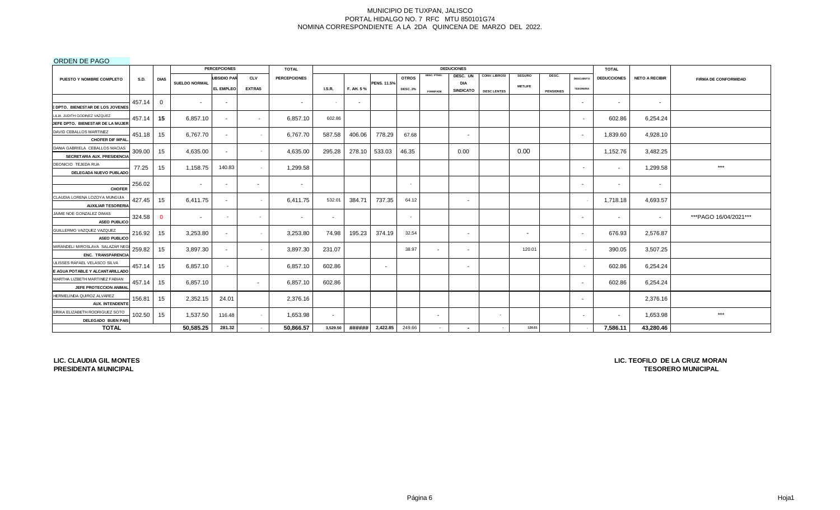## ORDEN DE PAGO

|                                                      |             |              |                      | <b>PERCEPCIONES</b>      |                 | <b>TOTAL</b>        |                          |           |                    |                 |                          | <b>DEDUCIONES</b>        |                    |                          |                  |                          | <b>TOTAL</b>       |                       |                             |
|------------------------------------------------------|-------------|--------------|----------------------|--------------------------|-----------------|---------------------|--------------------------|-----------|--------------------|-----------------|--------------------------|--------------------------|--------------------|--------------------------|------------------|--------------------------|--------------------|-----------------------|-----------------------------|
| PUESTO Y NOMBRE COMPLETO                             | <b>S.D.</b> | <b>DIAS</b>  |                      | <b>UBSIDIO PAR</b>       | <b>CLV</b>      | <b>PERCEPCIONES</b> |                          |           |                    | <b>OTROS</b>    | DESC. PTMO.              | DESC. UN                 | CONV. LIBROS/      | <b>SEGURO</b>            | DESC.            | <b>DESCUENTO</b>         | <b>DEDUCCIONES</b> | <b>NETO A RECIBIR</b> | <b>FIRMA DE CONFORMIDAD</b> |
|                                                      |             |              | <b>SUELDO NORMAL</b> | <b>EL EMPLEO</b>         | <b>EXTRAS</b>   |                     | <b>I.S.R.</b>            | F. AH. 5% | <b>PENS. 11.5%</b> | <b>DESC. 2%</b> |                          | DIA<br><b>SINDICATO</b>  | <b>DESC LENTES</b> | <b>METLIFE</b>           | <b>PENSIONES</b> | <b>TESORERIA</b>         |                    |                       |                             |
|                                                      |             |              |                      |                          |                 |                     |                          |           |                    |                 | <b>FOMEPADE</b>          |                          |                    |                          |                  |                          |                    |                       |                             |
| <b>EDPTO. BIENESTAR DE LOS JOVENES</b>               | 457.14      | $\Omega$     | $\overline{a}$       | $\sim$                   |                 | $\sim$              | $\sim$                   | $\sim$    |                    |                 |                          |                          |                    |                          |                  | $\sim$                   | $\sim$             | $\sim$                |                             |
| LILIA JUDITH GODINEZ VAZQUEZ                         |             |              |                      |                          |                 |                     |                          |           |                    |                 |                          |                          |                    |                          |                  |                          |                    |                       |                             |
| JEFE DPTO. BIENESTAR DE LA MUJER                     | 457.14      | 15           | 6.857.10             |                          | $\sim$          | 6,857.10            | 602.86                   |           |                    |                 |                          |                          |                    |                          |                  | $\overline{\phantom{a}}$ | 602.86             | 6,254.24              |                             |
| DAVID CEBALLOS MARTINEZ                              | 451.18      | 15           | 6,767.70             | $\sim$                   |                 | 6,767.70            | 587.58                   | 406.06    | 778.29             | 67.68           |                          |                          |                    |                          |                  |                          | 1,839.60           | 4,928.10              |                             |
| <b>CHOFER DIF MPAL</b>                               |             |              |                      |                          | $\sim$          |                     |                          |           |                    |                 |                          | $\overline{\phantom{a}}$ |                    |                          |                  | $\sim$                   |                    |                       |                             |
| DANIA GABRIELA CEBALLOS MACIAS                       | 309.00      | 15           | 4,635.00             | $\sim$                   | $\sim$          | 4,635.00            | 295.28                   | 278.10    | 533.03             | 46.35           |                          | 0.00                     |                    | 0.00                     |                  |                          | 1,152.76           | 3,482.25              |                             |
| SECRETARIA AUX. PRESIDENCIA                          |             |              |                      |                          |                 |                     |                          |           |                    |                 |                          |                          |                    |                          |                  |                          |                    |                       |                             |
| DEONICIO TEJEDA RUA<br>DELEGADA NUEVO PUBLADO        | 77.25       | 15           | 1,158.75             | 140.83                   | $\sim$ 10 $\pm$ | 1,299.58            |                          |           |                    |                 |                          |                          |                    |                          |                  | $\overline{\phantom{a}}$ | $\sim$             | 1,299.58              | $***$                       |
| <b>CHOFER</b>                                        | 256.02      |              |                      |                          | $\sim$          | $\sim$              |                          |           |                    |                 |                          |                          |                    |                          |                  | $\sim$                   | $\sim$             | $\sim$                |                             |
| CLAUDIA LORENA LOZOYA MUNGUIA                        |             |              |                      |                          |                 |                     |                          |           |                    |                 |                          |                          |                    |                          |                  |                          |                    |                       |                             |
| <b>AUXILIAR TESORERIA</b>                            | 427.45      | 15           | 6,411.75             |                          | $\sim$          | 6,411.75            | 532.01                   | 384.71    | 737.35             | 64.12           |                          | $\overline{\phantom{a}}$ |                    |                          |                  |                          | 1,718.18           | 4,693.57              |                             |
| JAIME NOE GONZALEZ DIMAS                             | 324.58      | $\mathbf{0}$ |                      | $\overline{\phantom{a}}$ | $\sim$          | $\sim$              | $\overline{\phantom{a}}$ |           |                    |                 |                          |                          |                    |                          |                  | $\sim$                   | $\sim$             | $\sim$                | ***PAGO 16/04/2021***       |
| <b>ASEO PUBLICO</b>                                  |             |              |                      |                          |                 |                     |                          |           |                    |                 |                          |                          |                    |                          |                  |                          |                    |                       |                             |
| GUILLERMO VAZQUEZ VAZQUEZ<br><b>ASEO PUBLICO</b>     | 216.92      | 15           | 3,253.80             | $\sim$                   | $\sim$          | 3,253.80            | 74.98                    | 195.23    | 374.19             | 32.54           |                          | $\sim$                   |                    | $\overline{\phantom{a}}$ |                  | $\sim$                   | 676.93             | 2,576.87              |                             |
| MIRANDELI MIROSLAVA SALAZAR NEG                      |             |              |                      |                          |                 |                     |                          |           |                    |                 |                          |                          |                    |                          |                  |                          |                    |                       |                             |
| ENC. TRANSPARENCIA                                   | 259.82      | 15           | 3,897.30             | $\sim$                   | $\sim$          | 3,897.30            | 231.07                   |           |                    | 38.97           | $\sim$                   | $\overline{\phantom{a}}$ |                    | 120.01                   |                  |                          | 390.05             | 3,507.25              |                             |
| JLISSES RAFAEL VELASCO SILVA                         | 457.14      | 15           | 6,857.10             |                          |                 | 6,857.10            | 602.86                   |           | $\sim$             |                 |                          | $\sim$                   |                    |                          |                  | $\sim$                   | 602.86             | 6,254.24              |                             |
| E AGUA POTABLE Y ALCANTARILLADO                      |             |              |                      |                          |                 |                     |                          |           |                    |                 |                          |                          |                    |                          |                  |                          |                    |                       |                             |
| MARTHA LIZBETH MARTINEZ FABIAN                       | 457.14      | 15           | 6,857.10             |                          | $\sim$          | 6,857.10            | 602.86                   |           |                    |                 |                          |                          |                    |                          |                  | $\sim$                   | 602.86             | 6,254.24              |                             |
| JEFE PROTECCION ANIMAL                               |             |              |                      |                          |                 |                     |                          |           |                    |                 |                          |                          |                    |                          |                  |                          |                    |                       |                             |
| HERMELINDA QUIROZ ALVAREZ                            | 156.81      | 15           | 2,352.15             | 24.01                    |                 | 2,376.16            |                          |           |                    |                 |                          |                          |                    |                          |                  | $\sim$                   |                    | 2,376.16              |                             |
| <b>AUX. INTENDENTE</b>                               |             |              |                      |                          |                 |                     |                          |           |                    |                 |                          |                          |                    |                          |                  |                          |                    |                       |                             |
| ERIKA ELIZABETH RODRIGUEZ SOTO<br>DELEGADO BUEN PAIS | 102.50      | 15           | 1,537.50             | 116.48                   | $\sim$          | 1,653.98            | $\overline{\phantom{a}}$ |           |                    |                 | $\overline{\phantom{a}}$ |                          | $\sim$             |                          |                  | $\overline{\phantom{a}}$ | $\sim$             | 1,653.98              | $***$                       |
| <b>TOTAL</b>                                         |             |              | 50,585.25            | 281.32                   | $\sim$          | 50,866.57           | 3,529.50                 | ###### I  | 2,422.85           | 249.66          | $\sim$                   |                          |                    | 120.01                   |                  |                          | 7,586.11           | 43,280.46             |                             |

**LIC. CLAUDIA GIL MONTES PRESIDENTA MUNICIPAL**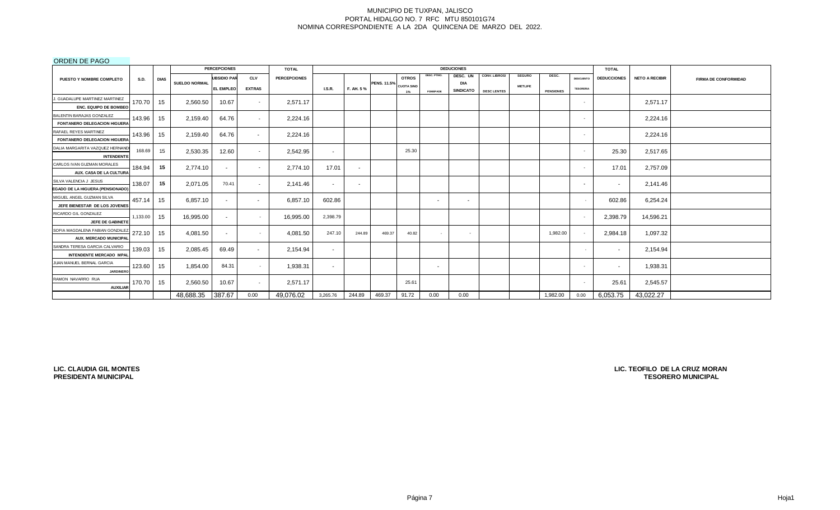## ORDEN DE PAGO

|                                  |             |                 |                      | <b>PERCEPCIONES</b>      |               | <b>TOTAL</b>        |                          |           |                    |                   |                 | <b>DEDUCIONES</b>              |                    |                |                  |                  | <b>TOTAL</b>       |                       |                             |
|----------------------------------|-------------|-----------------|----------------------|--------------------------|---------------|---------------------|--------------------------|-----------|--------------------|-------------------|-----------------|--------------------------------|--------------------|----------------|------------------|------------------|--------------------|-----------------------|-----------------------------|
| <b>PUESTO Y NOMBRE COMPLETO</b>  | <b>S.D.</b> | <b>DIAS</b>     |                      | <b>UBSIDIO PAR</b>       | <b>CLV</b>    | <b>PERCEPCIONES</b> |                          |           |                    | <b>OTROS</b>      | DESC. PTMO.     | DESC. UN                       | CONV. LIBROS/      | <b>SEGURO</b>  | DESC.            | <b>DESCUENTO</b> | <b>DEDUCCIONES</b> | <b>NETO A RECIBIR</b> | <b>FIRMA DE CONFORMIDAD</b> |
|                                  |             |                 | <b>SUELDO NORMAL</b> | <b>EL EMPLEO</b>         | <b>EXTRAS</b> |                     | I.S.R.                   | F. AH. 5% | <b>PENS. 11.5%</b> | <b>CUOTA SIND</b> | <b>FOMEPADE</b> | <b>DIA</b><br><b>SINDICATO</b> | <b>DESC LENTES</b> | <b>METLIFE</b> | <b>PENSIONES</b> | <b>TESORERIA</b> |                    |                       |                             |
| J. GUADALUPE MARTINEZ MARTINEZ   |             |                 |                      |                          |               |                     |                          |           |                    | 1%                |                 |                                |                    |                |                  |                  |                    |                       |                             |
| <b>ENC. EQUIPO DE BOMBEO</b>     | 170.70      | 15              | 2,560.50             | 10.67                    | $\sim$        | 2,571.17            |                          |           |                    |                   |                 |                                |                    |                |                  |                  |                    | 2,571.17              |                             |
| BALENTIN BARAJAS GONZALEZ        |             |                 |                      |                          |               |                     |                          |           |                    |                   |                 |                                |                    |                |                  |                  |                    |                       |                             |
| FONTANERO DELEGACION HIGUERA     | 143.96      | 15 <sub>1</sub> | 2,159.40             | 64.76                    | $\sim$        | 2,224.16            |                          |           |                    |                   |                 |                                |                    |                |                  |                  |                    | 2,224.16              |                             |
| RAFAEL REYES MARTINEZ            |             |                 |                      |                          |               |                     |                          |           |                    |                   |                 |                                |                    |                |                  |                  |                    |                       |                             |
| FONTANERO DELEGACION HIGUERA     | 143.96      | 15              | 2,159.40             | 64.76                    | $\sim$        | 2,224.16            |                          |           |                    |                   |                 |                                |                    |                |                  |                  |                    | 2,224.16              |                             |
| DALIA MARGARITA VAZQUEZ HERNAND  |             |                 |                      |                          |               |                     |                          |           |                    |                   |                 |                                |                    |                |                  |                  |                    |                       |                             |
| <b>INTENDENTE</b>                | 168.69      | 15              | 2,530.35             | 12.60                    | $\sim$        | 2,542.95            | $\overline{\phantom{a}}$ |           |                    | 25.30             |                 |                                |                    |                |                  |                  | 25.30              | 2,517.65              |                             |
| CARLOS IVAN GUZMAN MORALES       |             |                 |                      |                          |               |                     |                          |           |                    |                   |                 |                                |                    |                |                  |                  |                    |                       |                             |
| AUX. CASA DE LA CULTURA          | 184.94      | 15              | 2.774.10             | $\sim$                   | $\sim$        | 2,774.10            | 17.01                    | $\sim$    |                    |                   |                 |                                |                    |                |                  |                  | 17.01              | 2,757.09              |                             |
| SILVA VALENCIA J JESUS           | 138.07      | 15              | 2,071.05             | 70.41                    | $\sim$        |                     |                          |           |                    |                   |                 |                                |                    |                |                  |                  |                    |                       |                             |
| EGADO DE LA HIGUERA (PENSIONADO) |             |                 |                      |                          |               | 2,141.46            | $\sim$                   | $\sim$    |                    |                   |                 |                                |                    |                |                  | $\sim$           | $\sim$             | 2,141.46              |                             |
| MIGUEL ANGEL GUZMAN SILVA        | 457.14      | 15              | 6.857.10             | $\overline{\phantom{a}}$ | $\sim$        | 6,857.10            | 602.86                   |           |                    |                   | $\sim$          | . .                            |                    |                |                  |                  | 602.86             | 6,254.24              |                             |
| JEFE BIENESTAR DE LOS JOVENES    |             |                 |                      |                          |               |                     |                          |           |                    |                   |                 |                                |                    |                |                  |                  |                    |                       |                             |
| RICARDO GIL GONZALEZ             | 1,133.00    | 15              | 16,995.00            | $\sim$                   | $\sim$        | 16,995.00           | 2,398.79                 |           |                    |                   |                 |                                |                    |                |                  |                  | 2,398.79           | 14,596.21             |                             |
| JEFE DE GABINETE                 |             |                 |                      |                          |               |                     |                          |           |                    |                   |                 |                                |                    |                |                  |                  |                    |                       |                             |
| SOFIA MAGDALENA FABIAN GONZALEZ  | 272.10      | 15              | 4,081.50             | $\sim$                   | $\sim$        | 4,081.50            | 247.10                   | 244.89    | 469.37             | 40.82             | $\sim$          | $\sim$                         |                    |                | 1,982.00         |                  | 2,984.18           | 1,097.32              |                             |
| AUX. MERCADO MUNICIPAL           |             |                 |                      |                          |               |                     |                          |           |                    |                   |                 |                                |                    |                |                  |                  |                    |                       |                             |
| SANDRA TERESA GARCIA CALVARIO    | 139.03      | 15              | 2,085.45             | 69.49                    | $\sim$        | 2,154.94            | $\sim$                   |           |                    |                   |                 |                                |                    |                |                  |                  | $\sim$             | 2,154.94              |                             |
| INTENDENTE MERCADO MPAL          |             |                 |                      |                          |               |                     |                          |           |                    |                   |                 |                                |                    |                |                  |                  |                    |                       |                             |
| JUAN MANUEL BERNAL GARCIA        | 123.60      | 15              | 1,854.00             | 84.31                    | $\sim$        | 1,938.31            | $\overline{\phantom{a}}$ |           |                    |                   | $\sim$          |                                |                    |                |                  |                  | $\sim$             | 1,938.31              |                             |
| <b>JARDINERC</b>                 |             |                 |                      |                          |               |                     |                          |           |                    |                   |                 |                                |                    |                |                  |                  |                    |                       |                             |
| RAMON NAVARRO RUA                | 170.70      | 15              | 2,560.50             | 10.67                    | $\sim$        | 2,571.17            |                          |           |                    | 25.61             |                 |                                |                    |                |                  |                  | 25.61              | 2,545.57              |                             |
| <b>AUXILIAR</b>                  |             |                 |                      |                          |               |                     |                          |           |                    |                   |                 |                                |                    |                |                  |                  |                    |                       |                             |
|                                  |             |                 | 48,688.35            | 387.67                   | 0.00          | 49,076.02           | 3,265.76                 | 244.89    | 469.37             | 91.72             | 0.00            | 0.00                           |                    |                | 1,982.00         | 0.00             | 6,053.75           | 43,022.27             |                             |

**LIC. CLAUDIA GIL MONTES PRESIDENTA MUNICIPAL**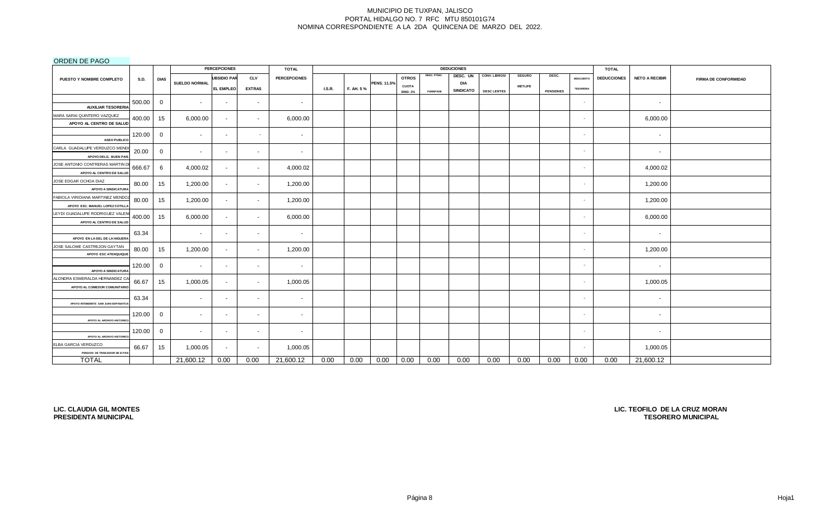## ORDEN DE PAGO

|                                                                |             |              |                          | <b>PERCEPCIONES</b> |               | <b>TOTAL</b>        |               |           |             |                 |                 | <b>DEDUCIONES</b> |                    |                |                  |                  | <b>TOTAL</b>       |                       |                             |
|----------------------------------------------------------------|-------------|--------------|--------------------------|---------------------|---------------|---------------------|---------------|-----------|-------------|-----------------|-----------------|-------------------|--------------------|----------------|------------------|------------------|--------------------|-----------------------|-----------------------------|
| PUESTO Y NOMBRE COMPLETO                                       | <b>S.D.</b> | <b>DIAS</b>  |                          | <b>UBSIDIO PAR</b>  | <b>CLV</b>    | <b>PERCEPCIONES</b> |               |           |             | <b>OTROS</b>    | DESC. PTMO.     | DESC. UN          | CONV. LIBROS/      | <b>SEGURO</b>  | DESC.            | <b>DESCUENTO</b> | <b>DEDUCCIONES</b> | <b>NETO A RECIBIR</b> | <b>FIRMA DE CONFORMIDAD</b> |
|                                                                |             |              | <b>SUELDO NORMAL</b>     | <b>EL EMPLEO</b>    | <b>EXTRAS</b> |                     | <b>I.S.R.</b> | F. AH. 5% | PENS. 11.5% | <b>CUOTA</b>    |                 | DIA               |                    | <b>METLIFE</b> |                  | <b>TESORERIA</b> |                    |                       |                             |
|                                                                |             |              |                          |                     |               |                     |               |           |             | <b>SIND. 1%</b> | <b>FOMEPADE</b> | SINDICATO         | <b>DESC LENTES</b> |                | <b>PENSIONES</b> |                  |                    |                       |                             |
| <b>AUXILIAR TESORERIA</b>                                      | 500.00      | 0            | $\overline{\phantom{a}}$ | $\sim$              | $\sim$        | $\sim$              |               |           |             |                 |                 |                   |                    |                |                  | $\sim$           |                    | $\sim$                |                             |
| MARA SARAI QUINTERO VAZQUEZ                                    |             |              |                          |                     |               |                     |               |           |             |                 |                 |                   |                    |                |                  |                  |                    |                       |                             |
| APOYO AL CENTRO DE SALUD                                       | 400.00      | 15           | 6,000.00                 | $\sim$              | $\sim$        | 6,000.00            |               |           |             |                 |                 |                   |                    |                |                  | $\sim$           |                    | 6,000.00              |                             |
| <b>ASEO PUBLICO</b>                                            | 120.00      | $\mathbf{0}$ | $\overline{\phantom{a}}$ | $\sim$              | $\sim$        | $\sim$              |               |           |             |                 |                 |                   |                    |                |                  | $\sim$           |                    | $\sim$                |                             |
| CARLA GUADALUPE VERDUZCO MEND                                  | 20.00       | $\mathbf{0}$ | $\sim$                   | $\sim$              | $\sim$        | $\sim$              |               |           |             |                 |                 |                   |                    |                |                  | $\sim$           |                    | $\sim$                |                             |
| APOYO DELG. BUEN PAIS                                          |             |              |                          |                     |               |                     |               |           |             |                 |                 |                   |                    |                |                  |                  |                    |                       |                             |
| JOSE ANTONIO CONTRERAS MARTIN D<br>APOYO AL CENTRO DE SALUD    | 666.67      | 6            | 4,000.02                 | $\sim$              | $\sim$        | 4,000.02            |               |           |             |                 |                 |                   |                    |                |                  | $\sim$           |                    | 4,000.02              |                             |
| JOSE EDGAR OCHOA DIAZ                                          | 80.00       | 15           | 1,200.00                 | $\sim$              | $\sim$        | 1,200.00            |               |           |             |                 |                 |                   |                    |                |                  | $\sim$           |                    | 1,200.00              |                             |
| APOYO A SINDICATURA                                            |             |              |                          |                     |               |                     |               |           |             |                 |                 |                   |                    |                |                  |                  |                    |                       |                             |
| FABIOLA VIRIDIANA MARTINEZ MENDO2                              | 80.00       | 15           | 1,200.00                 | $\sim$              | $\sim$        | 1,200.00            |               |           |             |                 |                 |                   |                    |                |                  | $\sim$           |                    | 1,200.00              |                             |
| APOYO ESC. MANUEL LOPEZ COTILL/                                |             |              |                          |                     |               |                     |               |           |             |                 |                 |                   |                    |                |                  |                  |                    |                       |                             |
| LEYDI GUADALUPE RODRIGUEZ VALEN<br>APOYO AL CENTRO DE SALUD    | 400.00      | 15           | 6,000.00                 | $\sim$              | $\sim$        | 6,000.00            |               |           |             |                 |                 |                   |                    |                |                  | $\sim$           |                    | 6,000.00              |                             |
|                                                                |             |              |                          |                     |               |                     |               |           |             |                 |                 |                   |                    |                |                  |                  |                    |                       |                             |
| APOYO EN LA DEL DE LA HIGUERA                                  | 63.34       |              | $\overline{\phantom{a}}$ | $\sim$              | $\sim$        | $\sim$              |               |           |             |                 |                 |                   |                    |                |                  | $\sim$           |                    | $\sim$                |                             |
| JOSE SALOME CASTREJON GAYTAN<br>APOYO ESC ATENQUIQUE           | 80.00       | 15           | 1,200.00                 | $\sim$              | $\sim$        | 1,200.00            |               |           |             |                 |                 |                   |                    |                |                  | $\sim$           |                    | 1,200.00              |                             |
|                                                                | 120.00      | 0            | $\sim$                   | $\sim$              | $\sim$        | $\sim$              |               |           |             |                 |                 |                   |                    |                |                  | $\sim$           |                    | $\sim$                |                             |
| <b>APOYO A SINDICATURA</b>                                     |             |              |                          |                     |               |                     |               |           |             |                 |                 |                   |                    |                |                  |                  |                    |                       |                             |
| ALONDRA ESMERALDA HERNANDEZ CA<br>APOYO AL COMEDOR COMUNITARIO | 66.67       | 15           | 1,000.05                 | $\sim$              | $\sim$        | 1,000.05            |               |           |             |                 |                 |                   |                    |                |                  | $\sim$           |                    | 1,000.05              |                             |
|                                                                | 63.34       |              | $\overline{\phantom{a}}$ | $\sim$              | $\sim$        | $\sim$              |               |           |             |                 |                 |                   |                    |                |                  | $\sim$           |                    | $\sim$                |                             |
| APOYO INTENDENTE SAM JUAN ESPANATICA                           |             |              |                          |                     |               |                     |               |           |             |                 |                 |                   |                    |                |                  |                  |                    |                       |                             |
|                                                                | 120.00      | $\mathbf{0}$ | $\sim$                   | $\sim$              | $\sim$        | $\sim$              |               |           |             |                 |                 |                   |                    |                |                  | $\sim$           |                    | $\sim$                |                             |
| APOYO AL ARCHIVO HISTORIC                                      |             |              |                          |                     |               |                     |               |           |             |                 |                 |                   |                    |                |                  |                  |                    |                       |                             |
| APOYO AL ARCHIVO HISTORICO                                     | 120.00      | $\mathbf{0}$ | $\sim$                   | $\sim$              | $\sim$        | $\sim$              |               |           |             |                 |                 |                   |                    |                |                  | ٠                |                    | $\sim$                |                             |
| ELBA GARCIA VERDUZCO                                           |             |              |                          |                     |               |                     |               |           |             |                 |                 |                   |                    |                |                  |                  |                    |                       |                             |
| PENSION DE TRABJADOR DE B PAIS                                 | 66.67       | 15           | 1,000.05                 | $\sim$              | $\sim$        | 1,000.05            |               |           |             |                 |                 |                   |                    |                |                  | $\sim$           |                    | 1,000.05              |                             |
| <b>TOTAL</b>                                                   |             |              | 21,600.12                | 0.00                | 0.00          | 21,600.12           | 0.00          | 0.00      | 0.00        | 0.00            | 0.00            | 0.00              | 0.00               | 0.00           | 0.00             | 0.00             | 0.00               | 21,600.12             |                             |

**LIC. CLAUDIA GIL MONTES PRESIDENTA MUNICIPAL**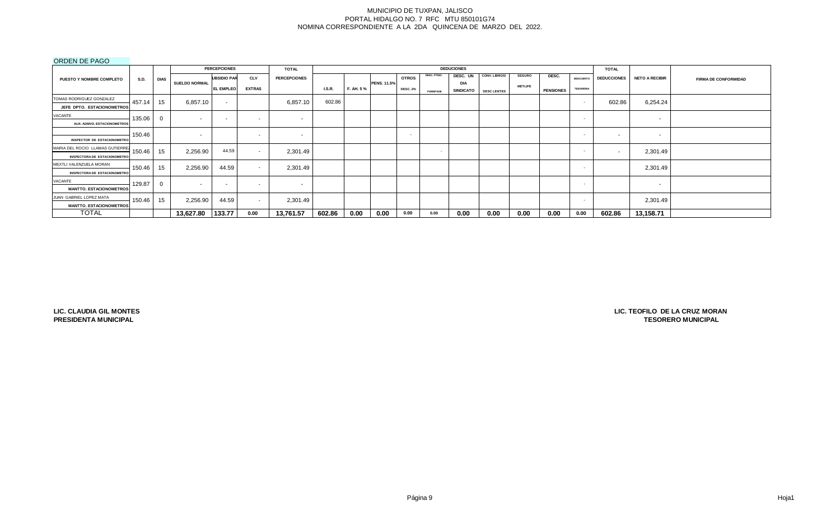## ORDEN DE PAGO

|                                                                         |             |             |               | <b>PERCEPCIONES</b>      |                          | <b>TOTAL</b>             |               |            |                    |                 |                 | <b>DEDUCIONES</b> |                    |                |                  |                  | <b>TOTAL</b>       |                          |                             |
|-------------------------------------------------------------------------|-------------|-------------|---------------|--------------------------|--------------------------|--------------------------|---------------|------------|--------------------|-----------------|-----------------|-------------------|--------------------|----------------|------------------|------------------|--------------------|--------------------------|-----------------------------|
| <b>PUESTO Y NOMBRE COMPLETO</b>                                         | <b>S.D.</b> | <b>DIAS</b> |               | <b>UBSIDIO PAR</b>       | <b>CLV</b>               | <b>PERCEPCIONES</b>      |               |            |                    | <b>OTROS</b>    | DESC. PTMO.     | DESC. UN          | CONV. LIBROS/      | <b>SEGURO</b>  | DESC.            | DESCUENTO        | <b>DEDUCCIONES</b> | <b>NETO A RECIBIR</b>    | <b>FIRMA DE CONFORMIDAD</b> |
|                                                                         |             |             | SUELDO NORMAL | <b>EL EMPLEO</b>         | <b>EXTRAS</b>            |                          | <b>I.S.R.</b> | F. AH. 5 % | <b>PENS. 11.5%</b> | <b>DESC. 2%</b> | <b>FOMEPADE</b> | DIA<br>SINDICATO  | <b>DESC LENTES</b> | <b>METLIFE</b> | <b>PENSIONES</b> | <b>TESORERIA</b> |                    |                          |                             |
| TOMAS RODRIGUEZ GONZALEZ                                                | 457.14      | 15          | 6,857.10      | $\sim$                   |                          | 6,857.10                 | 602.86        |            |                    |                 |                 |                   |                    |                |                  | $\sim$           | 602.86             | 6,254.24                 |                             |
| JEFE DPTO. ESTACIONOMETROS                                              |             |             |               |                          |                          |                          |               |            |                    |                 |                 |                   |                    |                |                  |                  |                    |                          |                             |
| VACANTE                                                                 | 135.06      |             | $\sim$        | $\overline{\phantom{a}}$ | $\sim$                   | $\sim$                   |               |            |                    |                 |                 |                   |                    |                |                  | . .              |                    | $\sim$                   |                             |
| <b>AUX. ADMVO, ESTACIONOMETROS</b>                                      |             |             |               |                          |                          |                          |               |            |                    |                 |                 |                   |                    |                |                  |                  |                    |                          |                             |
| <b>INSPECTOR DE ESTACIONOMETRO</b>                                      | 150.46      |             | . .           |                          | $\overline{\phantom{a}}$ | $\overline{\phantom{a}}$ |               |            |                    | . .             |                 |                   |                    |                |                  | $\sim$           | $\sim$             | $\sim$                   |                             |
| MARIA DEL ROCIO LLAMAS GUTIERREZ<br><b>INSPECTORA DE ESTACIONOMETRO</b> | 150.46      | 15          | 2,256.90      | 44.59                    | $\sim$                   | 2,301.49                 |               |            |                    |                 | $\sim$          |                   |                    |                |                  | . .              |                    | 2,301.49                 |                             |
| MEXTLI VALENZUELA MORAN<br><b>INSPECTORA DE ESTACIONOMETRO</b>          | 150.46      | 15          | 2,256.90      | 44.59                    | $\sim$                   | 2,301.49                 |               |            |                    |                 |                 |                   |                    |                |                  | . .              |                    | 2,301.49                 |                             |
| VACANTE<br><b>MANTTO, ESTACIONOMETROS</b>                               | 129.87      | $\Omega$    | . .           | $\overline{\phantom{a}}$ | $\sim$                   | $\sim$                   |               |            |                    |                 |                 |                   |                    |                |                  | $\sim$           |                    | $\overline{\phantom{0}}$ |                             |
| JUAN GABRIEL LOPEZ MATA<br><b>MANTTO, ESTACIONOMETROS</b>               | 150.46      | 15          | 2,256.90      | 44.59                    | $\sim$                   | 2,301.49                 |               |            |                    |                 |                 |                   |                    |                |                  | $\sim$           |                    | 2,301.49                 |                             |
| <b>TOTAL</b>                                                            |             |             | 13,627.80     | 133.77                   | 0.00                     | 13,761.57                | 602.86        | 0.00       | 0.00               | 0.00            | 0.00            | 0.00              | 0.00               | 0.00           | 0.00             | 0.00             | 602.86             | 13,158.71                |                             |

**LIC. CLAUDIA GIL MONTES PRESIDENTA MUNICIPAL**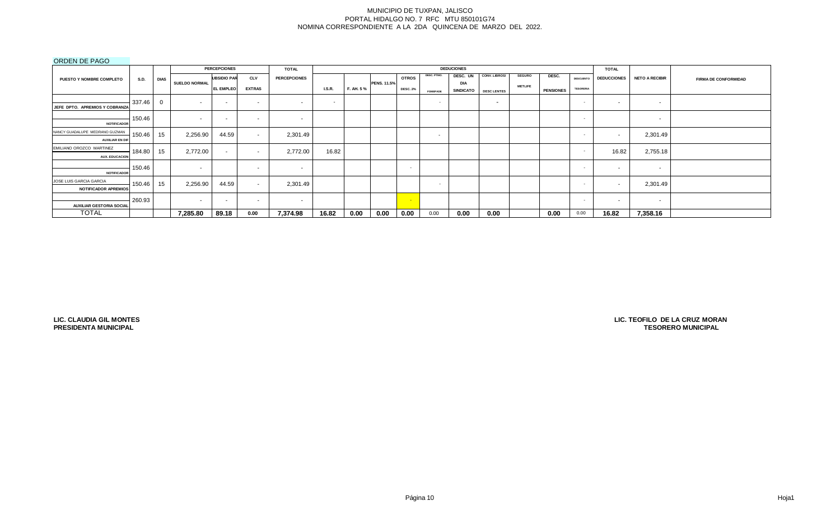## ORDEN DE PAGO

|                                                          |             |             |                      | <b>PERCEPCIONES</b>      |                   | <b>TOTAL</b>        |               |           |                    |                 |                 | <b>DEDUCIONES</b>              |                          |                |                  |                  | <b>TOTAL</b>       |                       |                             |
|----------------------------------------------------------|-------------|-------------|----------------------|--------------------------|-------------------|---------------------|---------------|-----------|--------------------|-----------------|-----------------|--------------------------------|--------------------------|----------------|------------------|------------------|--------------------|-----------------------|-----------------------------|
| PUESTO Y NOMBRE COMPLETO                                 | <b>S.D.</b> | <b>DIAS</b> |                      | <b>UBSIDIO PAR</b>       | <b>CLV</b>        | <b>PERCEPCIONES</b> |               |           |                    | <b>OTROS</b>    | DESC. PTMO.     | DESC. UN                       | CONV. LIBROS/            | <b>SEGURO</b>  | DESC.            | <b>DESCUENTO</b> | <b>DEDUCCIONES</b> | <b>NETO A RECIBIR</b> | <b>FIRMA DE CONFORMIDAD</b> |
|                                                          |             |             | <b>SUELDO NORMAL</b> | EL EMPLEO                | <b>EXTRAS</b>     |                     | <b>I.S.R.</b> | F. AH. 5% | <b>PENS. 11.5%</b> | <b>DESC. 2%</b> | <b>FOMEPADE</b> | <b>DIA</b><br><b>SINDICATO</b> | <b>DESC LENTES</b>       | <b>METLIFE</b> | <b>PENSIONES</b> | <b>TESORERIA</b> |                    |                       |                             |
| JEFE DPTO. APREMIOS Y COBRANZA                           | 337.46      | $\Omega$    | $\sim$               | $\overline{\phantom{a}}$ | <b>CONTRACTOR</b> | $\sim$              | $\sim$        |           |                    |                 | $\sim$          |                                | $\overline{\phantom{a}}$ |                |                  | $\sim$           | $\sim$             | $\sim$                |                             |
| <b>NOTIFICADOR</b>                                       | 150.46      |             | $\sim$               | $\overline{\phantom{a}}$ | $\sim$            | $\sim$              |               |           |                    |                 |                 |                                |                          |                |                  | $\sim$           |                    | $\sim$                |                             |
| NANCY GUADALUPE MEDRANO GUZMAN<br><b>AUXILIAR EN DIF</b> | 150.46      | 15          | 2,256.90             | 44.59                    | $\sim$            | 2,301.49            |               |           |                    |                 | $\sim$          |                                |                          |                |                  |                  | -                  | 2,301.49              |                             |
| EMILIANO OROZCO MARTINEZ<br><b>AUX. EDUCACION</b>        | 184.80      | 15          | 2,772.00             | $\sim$                   | $\sim$            | 2,772.00            | 16.82         |           |                    |                 |                 |                                |                          |                |                  |                  | 16.82              | 2,755.18              |                             |
| <b>NOTIFICADOR</b>                                       | 150.46      |             | $\sim$               |                          | <b>CONTRACTOR</b> | $\sim$              |               |           |                    | . .             |                 |                                |                          |                |                  | $\sim$           | $\sim$             | $\sim$                |                             |
| JOSE LUIS GARCIA GARCIA<br><b>NOTIFICADOR APREMIOS</b>   | 150.46      | 15          | 2,256.90             | 44.59                    | $\sim$            | 2,301.49            |               |           |                    |                 | $\sim$          |                                |                          |                |                  | $\sim$           |                    | 2,301.49              |                             |
| <b>AUXILIAR GESTORIA SOCIAL</b>                          | 260.93      |             | $\sim$               | $\overline{\phantom{a}}$ | $\sim$            | $\sim$              |               |           |                    | <b>Card</b>     |                 |                                |                          |                |                  | $\sim$           | $\sim$             | $\sim$                |                             |
| <b>TOTAL</b>                                             |             |             | 7,285.80             | 89.18                    | 0.00              | 7,374.98            | 16.82         | 0.00      | 0.00               | 0.00            | 0.00            | 0.00                           | 0.00                     |                | 0.00             | 0.00             | 16.82              | 7,358.16              |                             |

**LIC. CLAUDIA GIL MONTES PRESIDENTA MUNICIPAL**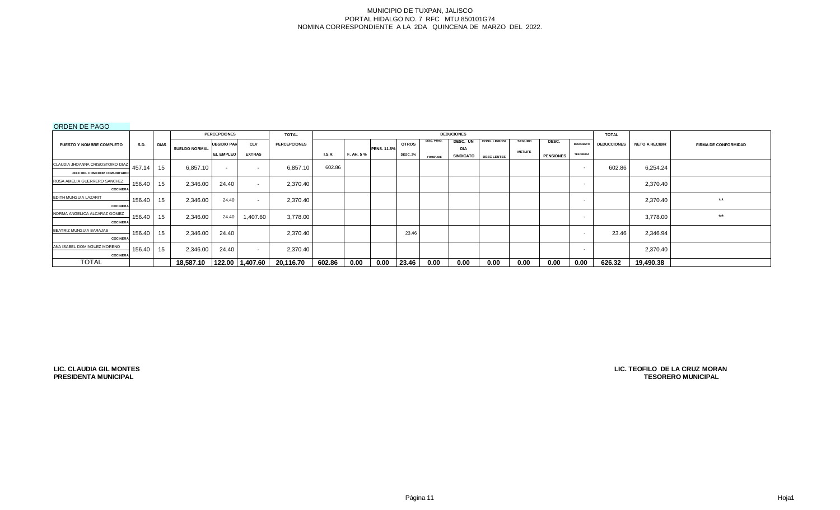# ORDEN DE PAGO

|                                 |             |             |                      | <b>PERCEPCIONES</b> |                          | <b>TOTAL</b>        |               |           |                    |                 |                 | <b>DEDUCIONES</b> |                      |                |                  |                  | <b>TOTAL</b>       |                       |                             |
|---------------------------------|-------------|-------------|----------------------|---------------------|--------------------------|---------------------|---------------|-----------|--------------------|-----------------|-----------------|-------------------|----------------------|----------------|------------------|------------------|--------------------|-----------------------|-----------------------------|
| <b>PUESTO Y NOMBRE COMPLETO</b> | <b>S.D.</b> | <b>DIAS</b> |                      | <b>UBSIDIO PAR</b>  | <b>CLV</b>               | <b>PERCEPCIONES</b> |               |           |                    | <b>OTROS</b>    | DESC. PTMO.     | DESC. UN          | <b>CONV. LIBROS/</b> | <b>SEGURO</b>  | DESC.            | <b>DESCUENTO</b> | <b>DEDUCCIONES</b> | <b>NETO A RECIBIR</b> | <b>FIRMA DE CONFORMIDAD</b> |
|                                 |             |             | <b>SUELDO NORMAL</b> | <b>EL EMPLEO</b>    | <b>EXTRAS</b>            |                     |               |           | <b>PENS. 11.5%</b> |                 |                 | <b>DIA</b>        |                      | <b>METLIFE</b> |                  |                  |                    |                       |                             |
|                                 |             |             |                      |                     |                          |                     | <b>I.S.R.</b> | F. AH. 5% |                    | <b>DESC. 2%</b> | <b>FOMEPADE</b> | <b>SINDICATO</b>  | <b>DESC LENTES</b>   |                | <b>PENSIONES</b> | <b>TESORERIA</b> |                    |                       |                             |
| CLAUDIA JHOANNA CRISOSTOMO DIAZ | 457.14      | 15          | 6,857.10             | $\sim$              | $\overline{\phantom{a}}$ | 6,857.10            | 602.86        |           |                    |                 |                 |                   |                      |                |                  | $\sim$           | 602.86             | 6,254.24              |                             |
| JEFE DEL COMEDOR COMUNITARIO    |             |             |                      |                     |                          |                     |               |           |                    |                 |                 |                   |                      |                |                  |                  |                    |                       |                             |
| ROSA AMELIA GUERRERO SANCHEZ    | 156.40      | 15          | 2,346.00             | 24.40               | $\sim$                   | 2,370.40            |               |           |                    |                 |                 |                   |                      |                |                  | . .              |                    | 2,370.40              |                             |
| <b>COCINERA</b>                 |             |             |                      |                     |                          |                     |               |           |                    |                 |                 |                   |                      |                |                  |                  |                    |                       |                             |
| EDITH MUNGUIA LAZARIT           | 156.40      | 15          | 2,346.00             | 24.40               | $\sim$                   | 2,370.40            |               |           |                    |                 |                 |                   |                      |                |                  | . .              |                    | 2,370.40              | $***$                       |
| <b>COCINERA</b>                 |             |             |                      |                     |                          |                     |               |           |                    |                 |                 |                   |                      |                |                  |                  |                    |                       |                             |
| NORMA ANGELICA ALCARAZ GOMEZ    | 156.40      | 15          | 2,346.00             | 24.40               | 1,407.60                 | 3,778.00            |               |           |                    |                 |                 |                   |                      |                |                  | $\sim$           |                    | 3,778.00              | $***$                       |
| <b>COCINERA</b>                 |             |             |                      |                     |                          |                     |               |           |                    |                 |                 |                   |                      |                |                  |                  |                    |                       |                             |
| BEATRIZ MUNGUIA BARAJAS         | 156.40      | 15          | 2,346.00             | 24.40               |                          | 2,370.40            |               |           |                    | 23.46           |                 |                   |                      |                |                  | . .              | 23.46              | 2,346.94              |                             |
| <b>COCINERA</b>                 |             |             |                      |                     |                          |                     |               |           |                    |                 |                 |                   |                      |                |                  |                  |                    |                       |                             |
| ANA ISABEL DOMINGUEZ MORENO     | 156.40      | 15          | 2,346.00             | 24.40               |                          | 2,370.40            |               |           |                    |                 |                 |                   |                      |                |                  |                  |                    | 2,370.40              |                             |
| <b>COCINERA</b>                 |             |             |                      |                     | $\overline{\phantom{a}}$ |                     |               |           |                    |                 |                 |                   |                      |                |                  |                  |                    |                       |                             |
| <b>TOTAL</b>                    |             |             | 18.587.10            |                     | 122.00 1,407.60          | 20,116.70           | 602.86        | 0.00      | 0.00               | 23.46           | 0.00            | 0.00              | 0.00                 | 0.00           | 0.00             | 0.00             | 626.32             | 19,490.38             |                             |

**LIC. CLAUDIA GIL MONTES PRESIDENTA MUNICIPAL**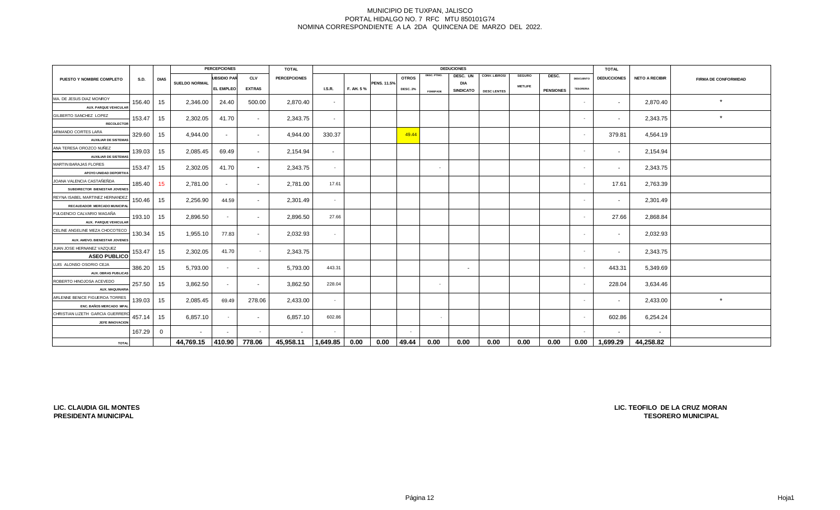|                                                         |             |      |                      | <b>PERCEPCIONES</b> |               | <b>TOTAL</b>        |                          |           |                    |                 |             | <b>DEDUCIONES</b>        |                    |                |                  |                  | <b>TOTAL</b>             |                       |                             |
|---------------------------------------------------------|-------------|------|----------------------|---------------------|---------------|---------------------|--------------------------|-----------|--------------------|-----------------|-------------|--------------------------|--------------------|----------------|------------------|------------------|--------------------------|-----------------------|-----------------------------|
| <b>PUESTO Y NOMBRE COMPLETO</b>                         | <b>S.D.</b> | DIAS |                      | <b>UBSIDIO PAR</b>  | <b>CLV</b>    | <b>PERCEPCIONES</b> |                          |           |                    | <b>OTROS</b>    | DESC. PTMO. | DESC. UN                 | CONV. LIBROS/      | <b>SEGURO</b>  | DESC.            | <b>DESCUENTO</b> | <b>DEDUCCIONES</b>       | <b>NETO A RECIBIR</b> | <b>FIRMA DE CONFORMIDAD</b> |
|                                                         |             |      | <b>SUELDO NORMAL</b> | <b>EL EMPLEO</b>    | <b>EXTRAS</b> |                     | <b>I.S.R.</b>            | F. AH. 5% | <b>PENS. 11.5%</b> | <b>DESC. 2%</b> |             | DIA<br><b>SINDICATO</b>  |                    | <b>METLIFE</b> | <b>PENSIONES</b> | <b>TESORERIA</b> |                          |                       |                             |
| MA. DE JESUS DIAZ MONROY                                |             |      |                      |                     |               |                     |                          |           |                    |                 | FOMEPADE    |                          | <b>DESC LENTES</b> |                |                  |                  |                          |                       |                             |
| <b>AUX. PARQUE VEHICULAR</b>                            | 156.40      | 15   | 2,346.00             | 24.40               | 500.00        | 2,870.40            | $\overline{\phantom{a}}$ |           |                    |                 |             |                          |                    |                |                  | $\sim$           | $\sim$                   | 2,870.40              | $\star$                     |
| GILBERTO SANCHEZ LOPEZ                                  |             |      |                      |                     |               |                     |                          |           |                    |                 |             |                          |                    |                |                  |                  |                          |                       | $\star$                     |
| <b>RECOLECTOR</b>                                       | 153.47      | 15   | 2,302.05             | 41.70               | $\sim$        | 2,343.75            | $\sim$                   |           |                    |                 |             |                          |                    |                |                  | $\sim$           | $\sim$                   | 2,343.75              |                             |
| ARMANDO CORTES LARA                                     | 329.60      |      | 4,944.00             |                     |               | 4,944.00            | 330.37                   |           |                    | 49.44           |             |                          |                    |                |                  | $\sim$           | 379.81                   | 4,564.19              |                             |
| <b>AUXILIAR DE SISTEMAS</b>                             |             | 15   |                      | $\sim$              | $\sim$        |                     |                          |           |                    |                 |             |                          |                    |                |                  |                  |                          |                       |                             |
| ANA TERESA OROZCO NUÑEZ                                 | 139.03      | 15   | 2,085.45             | 69.49               | $\sim$        | 2,154.94            | $\sim$                   |           |                    |                 |             |                          |                    |                |                  |                  | $\sim$                   | 2,154.94              |                             |
| <b>AUXILIAR DE SISTEMAS</b>                             |             |      |                      |                     |               |                     |                          |           |                    |                 |             |                          |                    |                |                  |                  |                          |                       |                             |
| MARTIN BARAJAS FLORES                                   | 153.47      | 15   | 2,302.05             | 41.70               | $\sim$        | 2,343.75            | $\sim$                   |           |                    |                 | $\sim$      |                          |                    |                |                  | $\sim$           |                          | 2,343.75              |                             |
| APOYO UNIDAD DEPORTIVA                                  |             |      |                      |                     |               |                     |                          |           |                    |                 |             |                          |                    |                |                  |                  |                          |                       |                             |
| JOANA VALENCIA CASTAÑEÑDA                               | 185.40      | 15   | 2,781.00             | $\sim$              | $\sim$        | 2,781.00            | 17.61                    |           |                    |                 |             |                          |                    |                |                  | $\sim$           | 17.61                    | 2,763.39              |                             |
| SUBDIRECTOR BIENESTAR JOVENES                           |             |      |                      |                     |               |                     |                          |           |                    |                 |             |                          |                    |                |                  |                  |                          |                       |                             |
| REYNA ISABEL MARTINEZ HERNANDEZ                         | 150.46      | 15   | 2,256.90             | 44.59               | $\sim$        | 2,301.49            |                          |           |                    |                 |             |                          |                    |                |                  | $\sim$           | $\sim$                   | 2,301.49              |                             |
| RECAUDADOR MERCADO MUNICIPAL                            |             |      |                      |                     |               |                     |                          |           |                    |                 |             |                          |                    |                |                  |                  |                          |                       |                             |
| FULGENCIO CALVARIO MAGAÑA                               | 193.10      | 15   | 2,896.50             | $\sim$              | $\sim$        | 2,896.50            | 27.66                    |           |                    |                 |             |                          |                    |                |                  | $\sim$           | 27.66                    | 2,868.84              |                             |
| AUX. PARQUE VEHICULAR<br>CELINE ANGELINE MEZA CHOCOTECO |             |      |                      |                     |               |                     |                          |           |                    |                 |             |                          |                    |                |                  |                  |                          |                       |                             |
|                                                         | 130.34      | 15   | 1,955.10             | 77.83               |               | 2,032.93            |                          |           |                    |                 |             |                          |                    |                |                  |                  | $\overline{\phantom{a}}$ | 2,032.93              |                             |
| AUX. AMDVO. BIENESTAR JOVENES                           |             |      |                      |                     |               |                     |                          |           |                    |                 |             |                          |                    |                |                  |                  |                          |                       |                             |
| JUAN JOSE HERNANEZ VAZQUEZ<br><b>ASEO PUBLICO</b>       | 153.47      | 15   | 2,302.05             | 41.70               | $\sim$        | 2,343.75            |                          |           |                    |                 |             |                          |                    |                |                  | . н.             | $\sim$                   | 2,343.75              |                             |
| LUIS ALONSO OSORIO CEJA                                 |             |      |                      |                     |               |                     |                          |           |                    |                 |             |                          |                    |                |                  |                  |                          |                       |                             |
| <b>AUX. OBRAS PUBLICAS</b>                              | 386.20      | 15   | 5,793.00             | $\sim$              | $\sim$        | 5,793.00            | 443.31                   |           |                    |                 |             | $\overline{\phantom{a}}$ |                    |                |                  | $\sim$           | 443.31                   | 5,349.69              |                             |
| ROBERTO HINOJOSA ACEVEDO                                |             |      |                      |                     |               |                     |                          |           |                    |                 |             |                          |                    |                |                  |                  |                          |                       |                             |
| <b>AUX. MAQUINARIA</b>                                  | 257.50      | 15   | 3,862.50             | $\sim$              | $\sim$        | 3,862.50            | 228.04                   |           |                    |                 | $\sim$      |                          |                    |                |                  | $\sim$           | 228.04                   | 3,634.46              |                             |
| ARLENNE BENICE FIGUEROA TORRES                          |             |      |                      |                     |               |                     |                          |           |                    |                 |             |                          |                    |                |                  | . н.             |                          |                       | $\star$                     |
| ENC. BAÑOS MERCADO MPAL                                 | 139.03      | 15   | 2,085.45             | 69.49               | 278.06        | 2,433.00            | $\sim$                   |           |                    |                 |             |                          |                    |                |                  |                  | $\sim$                   | 2,433.00              |                             |
| CHRISTIAN LIZETH GARCIA GUERRERO                        | 457.14      | 15   | 6,857.10             | $\sim$              | $\sim$        | 6,857.10            | 602.86                   |           |                    |                 | $\sim$      |                          |                    |                |                  | - 1              | 602.86                   | 6,254.24              |                             |
| JEFE INNOVACION                                         |             |      |                      |                     |               |                     |                          |           |                    |                 |             |                          |                    |                |                  |                  |                          |                       |                             |
|                                                         | 167.29      | 0    |                      |                     |               | $\sim$              |                          |           |                    |                 |             |                          |                    |                |                  |                  |                          | $\sim$                |                             |
| <b>TOTAL</b>                                            |             |      | 44,769.15            | 410.90              | 778.06        | 45,958.11           | 1,649.85                 | 0.00      | 0.00               | 49.44           | 0.00        | 0.00                     | 0.00               | 0.00           | 0.00             | 0.00             | 1,699.29                 | 44,258.82             |                             |

**LIC. CLAUDIA GIL MONTES PRESIDENTA MUNICIPAL**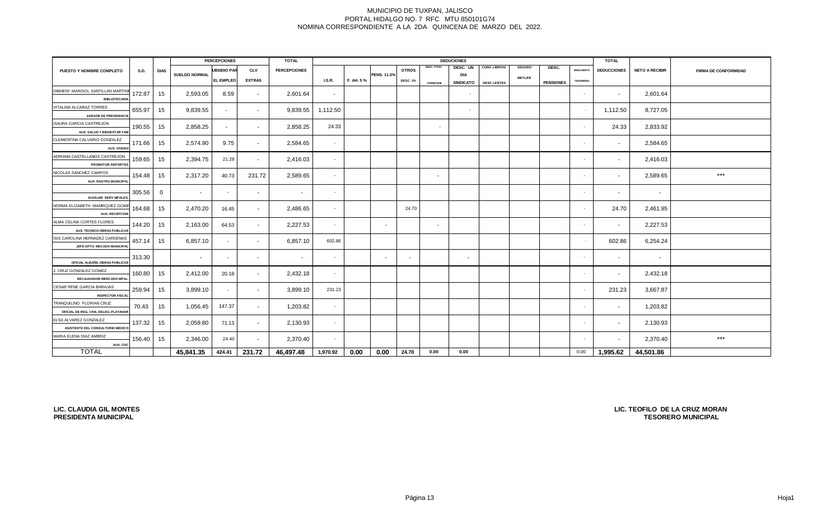| <b>PERCEPCIONES</b>                                         |             |              |                          |                    |               |                     | <b>DEDUCIONES</b> |           |                    |                          |                 |                  |                    |                |                  |                  |                          |                       |                             |
|-------------------------------------------------------------|-------------|--------------|--------------------------|--------------------|---------------|---------------------|-------------------|-----------|--------------------|--------------------------|-----------------|------------------|--------------------|----------------|------------------|------------------|--------------------------|-----------------------|-----------------------------|
| PUESTO Y NOMBRE COMPLETO                                    | <b>S.D.</b> | <b>DIAS</b>  |                          | <b>UBSIDIO PAR</b> | <b>CLV</b>    | <b>PERCEPCIONES</b> |                   |           |                    | <b>OTROS</b>             | DESC. PTMO.     | DESC. UN         | CONV. LIBROS/      | <b>SEGURO</b>  | DESC.            | <b>DESCUENTO</b> | <b>DEDUCCIONES</b>       | <b>NETO A RECIBIR</b> | <b>FIRMA DE CONFORMIDAD</b> |
|                                                             |             |              | <b>SUELDO NORMAL</b>     | <b>EL EMPLEO</b>   | <b>EXTRAS</b> |                     | LS.R.             | F. AH. 5% | <b>PENS. 11.5%</b> | <b>DESC. 1%</b>          |                 | <b>DIA</b>       |                    | <b>METLIFE</b> |                  | <b>TESORERIA</b> |                          |                       |                             |
|                                                             |             |              |                          |                    |               |                     |                   |           |                    |                          | <b>FOMEPADE</b> | <b>SINDICATO</b> | <b>DESC LENTES</b> |                | <b>PENSIONES</b> |                  |                          |                       |                             |
| DIBHENY MARISOL SANTILLAN MARTIN                            | 172.87      | 15           | 2,593.05                 | 8.59               | $\sim$        | 2,601.64            | $\sim$            |           |                    |                          |                 | $\sim$           |                    |                |                  | $\sim$           | $\sim$                   | 2,601.64              |                             |
| <b>BIBLIOTECARIA</b><br>VITALINA ALCARAZ TORRES             |             |              |                          |                    |               |                     |                   |           |                    |                          |                 |                  |                    |                |                  |                  |                          |                       |                             |
| <b>ASESOR DE PRESIDENCIA</b>                                | 655.97      | 15           | 9,839.55                 | $\sim$             | $\sim$        | 9,839.55            | 1,112.50          |           |                    |                          |                 | $\sim$           |                    |                |                  | $\sim$           | 1,112.50                 | 8,727.05              |                             |
| <b>ISAURA GARCIA CASTREJON</b>                              |             |              |                          |                    |               |                     |                   |           |                    |                          |                 |                  |                    |                |                  |                  |                          |                       |                             |
| AUX. SALUD Y BIENESTAR FAM                                  | 190.55      | 15           | 2,858.25                 | $\sim$             | $\sim$        | 2,858.25            | 24.33             |           |                    |                          | $\sim$          |                  |                    |                |                  | $\sim$           | 24.33                    | 2,833.92              |                             |
| CLEMENTINA CALVARIO GONZALEZ                                |             |              |                          |                    |               |                     |                   |           |                    |                          |                 |                  |                    |                |                  |                  |                          |                       |                             |
| AUX. VIVERO                                                 | 171.66      | 15           | 2,574.90                 | 9.75               | $\sim$        | 2,584.65            | $\sim$            |           |                    |                          |                 |                  |                    |                |                  |                  | $\sim$                   | 2,584.65              |                             |
| ADRIANA CASTELLANOS CASTREJON                               | 159.65      | 15           | 2,394.75                 | 21.28              | $\sim$        | 2,416.03            | $\sim$            |           |                    |                          |                 |                  |                    |                |                  | $\sim$           | $\sim$                   | 2,416.03              |                             |
| PROMOTOR DEPORTES                                           |             |              |                          |                    |               |                     |                   |           |                    |                          |                 |                  |                    |                |                  |                  |                          |                       |                             |
| NICOLAS SANCHEZ CAMPOS                                      | 154.48      | 15           | 2,317.20                 | 40.73              | 231.72        | 2,589.65            | $\sim$            |           |                    |                          | $\sim$          |                  |                    |                |                  |                  | $\sim$                   | 2,589.65              | $***$                       |
| <b>AUX. RASTRO MUNICIPA</b>                                 |             |              |                          |                    |               |                     |                   |           |                    |                          |                 |                  |                    |                |                  |                  |                          |                       |                             |
|                                                             | 305.56      | $\mathbf{0}$ | $\overline{\phantom{a}}$ | $\sim$             | $\sim$        | $\sim$              | $\sim$            |           |                    |                          |                 |                  |                    |                |                  |                  | $\sim$                   | $\sim$                |                             |
| <b>AUXILIAR SERV MPALES</b>                                 |             |              |                          |                    |               |                     |                   |           |                    |                          |                 |                  |                    |                |                  |                  |                          |                       |                             |
| NORMA ELIZABETH MANRIQUEZ GOM                               | 164.68      | 15           | 2,470.20                 | 16.45              | $\sim$        | 2,486.65            | $\sim$            |           |                    | 24.70                    |                 |                  |                    |                |                  | $\sim$           | 24.70                    | 2,461.95              |                             |
| <b>AUX. RECEPCION</b>                                       |             |              |                          |                    |               |                     |                   |           |                    |                          |                 |                  |                    |                |                  |                  |                          |                       |                             |
| ALMA CELINA CORTES FLORES<br>AUX. TECNICO OBRAS PUBLICAS    | 144.20      | 15           | 2,163.00                 | 64.53              | $\sim$        | 2,227.53            | $\sim$            |           | $\sim$             |                          | $\sim$          |                  |                    |                |                  | $\sim$           | $\sim$                   | 2,227.53              |                             |
| ISIS CAROLINA HERNADEZ CARDENAS                             |             |              |                          |                    |               |                     |                   |           |                    |                          |                 |                  |                    |                |                  |                  |                          |                       |                             |
| JEFE DPTO. MECADO MUNICIPA                                  | 457.14      | 15           | 6,857.10                 | $\sim$             | $\sim$        | 6,857.10            | 602.86            |           |                    |                          |                 |                  |                    |                |                  | $\sim$           | 602.86                   | 6,254.24              |                             |
|                                                             | 313.30      |              | $\sim$                   | $\sim$             | $\sim$        | $\sim$              | $\sim$            |           | $\sim$             | $\overline{\phantom{a}}$ |                 | $\sim$           |                    |                |                  | $\sim$           | $\sim$                   | $\sim$                |                             |
| OFICIAL ALBAÑIL OBRAS PUBLICAS                              |             |              |                          |                    |               |                     |                   |           |                    |                          |                 |                  |                    |                |                  |                  |                          |                       |                             |
| J. CRUZ GONZALEZ GOMEZ                                      | 160.80      | 15           | 2,412.00                 | 20.18              | $\sim$        | 2,432.18            | $\sim$            |           |                    |                          |                 |                  |                    |                |                  | $\sim$           | $\sim$                   | 2,432.18              |                             |
| RECAUDADOR MERCADO MPA                                      |             |              |                          |                    |               |                     |                   |           |                    |                          |                 |                  |                    |                |                  |                  |                          |                       |                             |
| CESAR RENE GARCIA BARAJAS                                   | 259.94      | 15           | 3,899.10                 | $\sim$             | $\sim$        | 3,899.10            | 231.23            |           |                    |                          |                 |                  |                    |                |                  |                  | 231.23                   | 3,667.87              |                             |
| <b>INSPECTOR FISCA</b>                                      |             |              |                          |                    |               |                     |                   |           |                    |                          |                 |                  |                    |                |                  |                  |                          |                       |                             |
| TRANQUILINO FLORIAN CRUZ                                    | 70.43       | 15           | 1,056.45                 | 147.37             | $\sim$        | 1,203.82            | $\sim$            |           |                    |                          |                 |                  |                    |                |                  |                  | $\overline{\phantom{a}}$ | 1,203.82              |                             |
| OFICIAL DE REG. CIVIL DELEG. PLATANAR                       |             |              |                          |                    |               |                     |                   |           |                    |                          |                 |                  |                    |                |                  |                  |                          |                       |                             |
| ELSA ALVAREZ GONZALEZ                                       | 137.32      | 15           | 2,059.80                 | 71.13              | $\sim$        | 2,130.93            | $\sim$            |           |                    |                          |                 |                  |                    |                |                  |                  | $\sim$                   | 2,130.93              |                             |
| ASISTENTE DEL CONSULTORIO MEDICO<br>MARIA ELENA DIAZ AMBRIZ |             |              |                          |                    |               |                     |                   |           |                    |                          |                 |                  |                    |                |                  |                  |                          |                       |                             |
| AUX. CDC                                                    | 156.40      | 15           | 2,346.00                 | 24.40              | $\sim$        | 2,370.40            | $\sim$            |           |                    |                          |                 |                  |                    |                |                  | $\sim$           | $\sim$                   | 2,370.40              | $***$                       |
| <b>TOTAL</b>                                                |             |              | 45,841.35                | 424.41             | 231.72        | 46,497.48           | 1,970.92          | 0.00      | 0.00               | 24.70                    | 0.00            | 0.00             |                    |                |                  | 0.00             | 1,995.62                 | 44,501.86             |                             |
|                                                             |             |              |                          |                    |               |                     |                   |           |                    |                          |                 |                  |                    |                |                  |                  |                          |                       |                             |

**LIC. CLAUDIA GIL MONTES PRESIDENTA MUNICIPAL**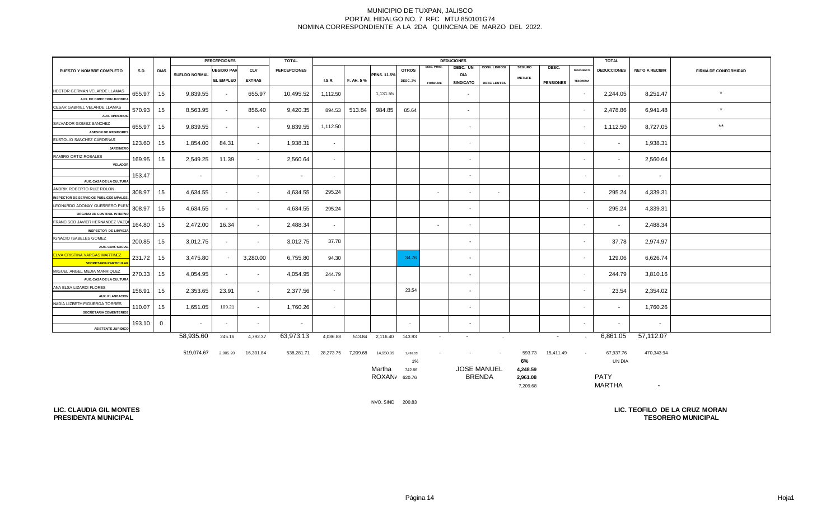|                                                                            |             |              | <b>PERCEPCIONES</b> |                    |               | <b>TOTAL</b>        |                          |           |                    |                 |                 | <b>DEDUCIONES</b>        |                    | <b>TOTAL</b>   |                  |                  |                          |                       |                             |
|----------------------------------------------------------------------------|-------------|--------------|---------------------|--------------------|---------------|---------------------|--------------------------|-----------|--------------------|-----------------|-----------------|--------------------------|--------------------|----------------|------------------|------------------|--------------------------|-----------------------|-----------------------------|
| PUESTO Y NOMBRE COMPLETO                                                   | <b>S.D.</b> | <b>DIAS</b>  |                     | <b>UBSIDIO PAR</b> | <b>CLV</b>    | <b>PERCEPCIONES</b> |                          |           |                    | <b>OTROS</b>    | DESC. PTMO.     | DESC. UN                 | CONV. LIBROS/      | <b>SEGURO</b>  | DESC.            | <b>DESCUENTO</b> | <b>DEDUCCIONES</b>       | <b>NETO A RECIBIR</b> | <b>FIRMA DE CONFORMIDAD</b> |
|                                                                            |             |              | SUELDO NORMAL       | EL EMPLEO          | <b>EXTRAS</b> |                     | <b>I.S.R.</b>            | F. AH. 5% | <b>PENS. 11.5%</b> | <b>DESC. 2%</b> |                 | DIA<br><b>SINDICATO</b>  | <b>DESC LENTES</b> | <b>METLIFE</b> | <b>PENSIONES</b> | <b>TESORERIA</b> |                          |                       |                             |
| HECTOR GERMAN VELARDE LLAMAS                                               |             |              |                     |                    |               |                     |                          |           |                    |                 | <b>FOMEPADE</b> |                          |                    |                |                  |                  |                          |                       |                             |
| AUX. DE DIRECCION JURIDIC.                                                 | 655.97      | 15           | 9,839.55            | $\sim$             | 655.97        | 10,495.52           | 1,112.50                 |           | 1,131.55           |                 |                 | $\overline{\phantom{a}}$ |                    |                |                  | $\sim$           | 2,244.05                 | 8,251.47              | $\star$                     |
| CESAR GABRIEL VELARDE LLAMAS                                               |             |              |                     |                    |               |                     |                          |           |                    |                 |                 |                          |                    |                |                  |                  |                          |                       | $\star$                     |
| <b>AUX. APREMIOS</b>                                                       | 570.93      | 15           | 8,563.95            | $\sim$             | 856.40        | 9,420.35            | 894.53                   | 513.84    | 984.85             | 85.64           |                 | $\sim$                   |                    |                |                  | $\sim$           | 2,478.86                 | 6,941.48              |                             |
| SALVADOR GOMEZ SANCHEZ                                                     | 655.97      | 15           | 9,839.55            | $\sim$             | $\sim$        | 9,839.55            | 1,112.50                 |           |                    |                 |                 |                          |                    |                |                  | $\sim$           | 1,112.50                 | 8,727.05              | $\star\star$                |
| <b>ASESOR DE REGIDORES</b>                                                 |             |              |                     |                    |               |                     |                          |           |                    |                 |                 |                          |                    |                |                  |                  |                          |                       |                             |
| EUSTOLIO SANCHEZ CARDENAS<br><b>JARDINERO</b>                              | 123.60      | 15           | 1,854.00            | 84.31              | $\sim$        | 1,938.31            | $\overline{\phantom{a}}$ |           |                    |                 |                 |                          |                    |                |                  | $\sim$           |                          | 1,938.31              |                             |
| RAMIRO ORTIZ ROSALES                                                       | 169.95      | 15           | 2,549.25            | 11.39              | $\sim$        | 2,560.64            | $\sim$                   |           |                    |                 |                 |                          |                    |                |                  | $\sim$           |                          | 2,560.64              |                             |
| <b>VELADOR</b>                                                             |             |              |                     |                    |               |                     |                          |           |                    |                 |                 |                          |                    |                |                  |                  |                          |                       |                             |
|                                                                            | 153.47      |              |                     |                    | $\sim$        | $\sim$              | $\sim$                   |           |                    |                 |                 |                          |                    |                |                  | $\sim$           | $\sim$                   | $\sim$                |                             |
| AUX. CASA DE LA CULTURA                                                    |             |              |                     |                    |               |                     |                          |           |                    |                 |                 |                          |                    |                |                  |                  |                          |                       |                             |
| ANDRIK ROBERTO RUIZ ROLON<br><b>INSPECTOR DE SERVICIOS PUBLICOS MPALES</b> | 308.97      | 15           | 4,634.55            | $\sim$             | $\sim$        | 4,634.55            | 295.24                   |           |                    |                 | $\sim$          |                          |                    |                |                  | $\sim$           | 295.24                   | 4,339.31              |                             |
| LEONARDO ADONAY GUERRERO PUEN                                              |             |              |                     |                    |               |                     |                          |           |                    |                 |                 |                          |                    |                |                  |                  |                          |                       |                             |
| ORGANO DE CONTROL INTERNO                                                  | 308.97      | 15           | 4,634.55            | $\sim$             | $\sim$        | 4,634.55            | 295.24                   |           |                    |                 |                 |                          |                    |                |                  |                  | 295.24                   | 4,339.31              |                             |
| FRANCISCO JAVIER HERNANDEZ VAZQ                                            | 164.80      |              | 2,472.00            | 16.34              |               | 2,488.34            |                          |           |                    |                 |                 |                          |                    |                |                  | $\sim$           |                          |                       |                             |
| <b>INSPECTOR DE LIMPIEZA</b>                                               |             | 15           |                     |                    | $\sim$        |                     | $\sim$                   |           |                    |                 | $\sim$          |                          |                    |                |                  |                  | $\sim$                   | 2,488.34              |                             |
| IGNACIO ISABELES GOMEZ                                                     | 200.85      | 15           | 3,012.75            | $\sim$             |               | 3,012.75            | 37.78                    |           |                    |                 |                 |                          |                    |                |                  | $\sim$           | 37.78                    | 2,974.97              |                             |
| AUX. COM. SOCIAL                                                           |             |              |                     |                    |               |                     |                          |           |                    |                 |                 |                          |                    |                |                  |                  |                          |                       |                             |
| <b>ELVA CRISTINA VARGAS MARTINEZ</b>                                       | 231.72      | 15           | 3,475.80            | $\sim$             | 3,280.00      | 6,755.80            | 94.30                    |           |                    | 34.76           |                 | $\sim$                   |                    |                |                  | $\sim$           | 129.06                   | 6,626.74              |                             |
| <b>SECRETARIA PARTICULAI</b>                                               |             |              |                     |                    |               |                     |                          |           |                    |                 |                 |                          |                    |                |                  |                  |                          |                       |                             |
| MIGUEL ANGEL MEJIA MANRIQUEZ                                               | 270.33      | 15           | 4,054.95            | $\sim$             | $\sim$        | 4,054.95            | 244.79                   |           |                    |                 |                 | $\sim$                   |                    |                |                  | $\sim$           | 244.79                   | 3,810.16              |                             |
| AUX. CASA DE LA CULTURA<br>ANA ELSA LIZARDI FLORES                         |             |              |                     |                    |               |                     |                          |           |                    |                 |                 |                          |                    |                |                  |                  |                          |                       |                             |
| <b>AUX. PLANEACION</b>                                                     | 156.91      | 15           | 2,353.65            | 23.91              | $\sim$        | 2,377.56            | $\overline{\phantom{a}}$ |           |                    | 23.54           |                 |                          |                    |                |                  | $\sim$           | 23.54                    | 2,354.02              |                             |
| NADIA LIZBETH FIGUEROA TORRES                                              |             |              |                     |                    |               |                     |                          |           |                    |                 |                 |                          |                    |                |                  |                  |                          |                       |                             |
| <b>SECRETARIA CEMENTERIOS</b>                                              | 110.07      | 15           | 1,651.05            | 109.21             | $\sim$        | 1,760.26            | $\sim$                   |           |                    |                 |                 | $\sim$                   |                    |                |                  | $\sim$           | $\sim$                   | 1,760.26              |                             |
|                                                                            | 193.10      | $\mathbf{0}$ | $\sim$              | $\sim$             | $\sim$        | $\sim$              |                          |           |                    | $\sim$          |                 | $\sim$                   |                    |                |                  | $\sim$           | $\overline{\phantom{a}}$ | $\sim$                |                             |
| <b>ASISTENTE JURIDICO</b>                                                  |             |              |                     |                    |               |                     |                          |           |                    |                 |                 |                          |                    |                |                  |                  |                          |                       |                             |
|                                                                            |             |              | 58,935.60           | 245.16             | 4,792.37      | 63,973.13           | 4,086.88                 |           | 513.84 2,116.40    | 143.93          | $\sim$          | $\sim$                   | $\sim 100$         |                | $\sim$           | $\sim$           | 6.861.05                 | 57.112.07             |                             |

 519,074.67 2,905.20 16,301.84 538,281.71 28,273.75 7,209.68 14,950.09 1,499.03 - - - 593.73 15,411.49 - 67,937.76 470,343.94 1% **6%** Martha 742.86 **4,248.59** JOSE MANUEL ROXANA 620.76 **2,961.08** PATY 7,209.68 MARTHA - UN DIA BRENDA

NVO. SIND 200.83

**LIC. CLAUDIA GIL MONTES PRESIDENTA MUNICIPAL**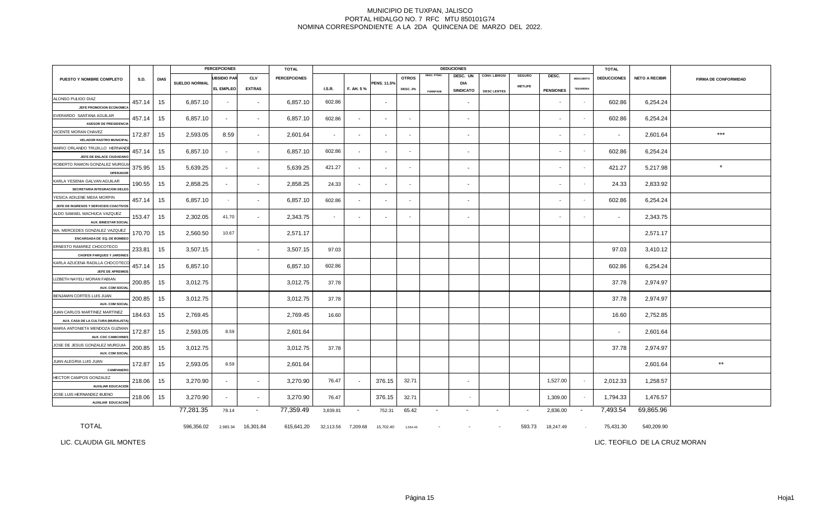|                                                                       |        |             | <b>PERCEPCIONES</b>  |                    |               | <b>TOTAL</b>        |                          | <b>DEDUCIONES</b><br><b>TOTAL</b> |                |                          |                 |                          |                      |                          |                          |                  |                    |                       |                             |
|-----------------------------------------------------------------------|--------|-------------|----------------------|--------------------|---------------|---------------------|--------------------------|-----------------------------------|----------------|--------------------------|-----------------|--------------------------|----------------------|--------------------------|--------------------------|------------------|--------------------|-----------------------|-----------------------------|
| PUESTO Y NOMBRE COMPLETO                                              | S.D.   | <b>DIAS</b> |                      | <b>UBSIDIO PAR</b> | <b>CLV</b>    | <b>PERCEPCIONES</b> |                          |                                   |                | <b>OTROS</b>             | DESC. PTMO.     | DESC. UN                 | <b>CONV. LIBROS/</b> | <b>SEGURO</b>            | DESC.                    | <b>DESCUENTO</b> | <b>DEDUCCIONES</b> | <b>NETO A RECIBIR</b> | <b>FIRMA DE CONFORMIDAD</b> |
|                                                                       |        |             | <b>SUELDO NORMAL</b> | <b>EL EMPLEO</b>   | <b>EXTRAS</b> |                     | <b>I.S.R.</b>            | F. AH. 5%                         | PENS. 11.5%    | <b>DESC. 2%</b>          | <b>FOMEPADE</b> | DIA<br><b>SINDICATO</b>  | <b>DESC LENTES</b>   | <b>METLIFE</b>           | <b>PENSIONES</b>         | <b>TESORERIA</b> |                    |                       |                             |
| ALONSO PULIDO DIAZ<br>JEFE PROMOCION ECONOMIC                         | 457.14 | 15          | 6,857.10             | $\sim$             | $\sim$        | 6,857.10            | 602.86                   |                                   |                |                          |                 | $\blacksquare$           |                      |                          |                          | $\sim$           | 602.86             | 6,254.24              |                             |
| EVERARDO SANTANA AGUILAR                                              | 457.14 | 15          | 6,857.10             | $\sim$             | $\sim$        | 6,857.10            | 602.86                   |                                   |                |                          |                 |                          |                      |                          |                          | $\sim$           | 602.86             | 6,254.24              |                             |
| <b>ASESOR DE PRESIDENCIA</b><br>VICENTE MORAN CHAVEZ                  |        |             |                      |                    |               |                     |                          |                                   |                |                          |                 |                          |                      |                          |                          |                  |                    |                       | $***$                       |
| <b>VELADOR RASTRO MUNICIPA</b>                                        | 172.87 | 15          | 2,593.05             | 8.59               | $\sim$        | 2,601.64            | $\sim$                   | $\sim$                            | $\sim$         | $\overline{\phantom{a}}$ |                 | $\overline{\phantom{a}}$ |                      |                          | $\overline{\phantom{a}}$ | $\sim$           | $\sim$             | 2,601.64              |                             |
| MARIO ORLANDO TRUJILLO HERNAND<br>JEFE DE ENLACE CIUDADANO            | 457.14 | 15          | 6,857.10             | $\sim$             | $\sim$        | 6,857.10            | 602.86                   | $\blacksquare$                    | $\sim$         | $\sim$                   |                 | $\sim$                   |                      |                          | $\overline{\phantom{a}}$ | $\sim$           | 602.86             | 6,254.24              |                             |
| ROBERTO RAMON GONZALEZ MURGU<br>OPERADOR                              | 375.95 | 15          | 5,639.25             | $\sim$             | $\sim$        | 5,639.25            | 421.27                   | $\blacksquare$                    |                | $\overline{\phantom{a}}$ |                 | $\overline{\phantom{a}}$ |                      |                          | $\overline{\phantom{a}}$ | $\sim$           | 421.27             | 5,217.98              | $\star$                     |
| KARLA YESENIA GALVAN AGUILAR<br>SECRETARIA INTEGRACION DELEO          | 190.55 | 15          | 2,858.25             | $\sim$             | $\sim$        | 2,858.25            | 24.33                    | $\sim$                            | $\sim$         | $\sim$                   |                 | $\sim$                   |                      |                          | $\overline{\phantom{a}}$ | $\sim$           | 24.33              | 2,833.92              |                             |
| YESICA ADILENE MEIIA MORFIN<br>JEFE DE INGRESOS Y SERVICIOS COACTIVOS | 457.14 | 15          | 6,857.10             | $\sim$             | $\sim$        | 6,857.10            | 602.86                   | $\blacksquare$                    | $\blacksquare$ | $\sim$                   |                 | $\sim$                   |                      |                          | $\sim$                   | $\sim$           | 602.86             | 6,254.24              |                             |
| ALDO SAMAEL MACHUCA VAZQUEZ<br><b>AUX. BINESTAR SOCIA</b>             | 153.47 | 15          | 2,302.05             | 41.70              | $\sim$        | 2,343.75            | $\overline{\phantom{a}}$ | $\blacksquare$                    | $\sim$         | $\sim$                   |                 | $\sim$                   |                      |                          | $\overline{\phantom{a}}$ | ٠                | $\blacksquare$     | 2,343.75              |                             |
| MA. MERCEDES GONZALEZ VAZQUEZ<br>ENCARGADA DE EQ. DE BOMBEO           | 170.70 | 15          | 2,560.50             | 10.67              |               | 2,571.17            |                          |                                   |                |                          |                 |                          |                      |                          |                          |                  |                    | 2,571.17              |                             |
| ERNESTO RAMIREZ CHOCOTECO<br><b>CHOFER PARQUES Y JARDINES</b>         | 233.81 | 15          | 3,507.15             |                    | $\sim$        | 3,507.15            | 97.03                    |                                   |                |                          |                 |                          |                      |                          |                          |                  | 97.03              | 3,410.12              |                             |
| KARLA AZUCENA RADILLA CHOCOTEC<br>JEFE DE APREMIO:                    | 457.14 | 15          | 6,857.10             |                    |               | 6,857.10            | 602.86                   |                                   |                |                          |                 |                          |                      |                          |                          |                  | 602.86             | 6,254.24              |                             |
| LIZBETH NAYELI MORAN FABIAN<br><b>AUX. COM SOCIA</b>                  | 200.85 | 15          | 3,012.75             |                    |               | 3,012.75            | 37.78                    |                                   |                |                          |                 |                          |                      |                          |                          |                  | 37.78              | 2,974.97              |                             |
| BENJAMIN CORTES LUIS JUAN<br><b>AUX. COM SOCIA</b>                    | 200.85 | 15          | 3,012.75             |                    |               | 3,012.75            | 37.78                    |                                   |                |                          |                 |                          |                      |                          |                          |                  | 37.78              | 2,974.97              |                             |
| JUAN CARLOS MARTINEZ MARTINEZ<br>AUX, CASA DE LA CULTURA (MURALISTA   | 184.63 | 15          | 2,769.45             |                    |               | 2,769.45            | 16.60                    |                                   |                |                          |                 |                          |                      |                          |                          |                  | 16.60              | 2,752.85              |                             |
| MARIA ANTONIETA MENDOZA GUZMAN<br>AUX. CDC CAMICHINE:                 | 172.87 | 15          | 2,593.05             | 8.59               |               | 2,601.64            |                          |                                   |                |                          |                 |                          |                      |                          |                          |                  | $\sim$             | 2,601.64              |                             |
| JOSE DE JESUS GONZALEZ MURGUIA                                        | 200.85 | 15          | 3,012.75             |                    |               | 3,012.75            | 37.78                    |                                   |                |                          |                 |                          |                      |                          |                          |                  | 37.78              | 2,974.97              |                             |
| <b>AUX. COM SOCIA</b><br>JUAN ALEGRIA LUIS JUAN                       | 172.87 | 15          | 2,593.05             | 8.59               |               | 2,601.64            |                          |                                   |                |                          |                 |                          |                      |                          |                          |                  |                    | 2,601.64              | $^{\star\star}$             |
| CAMPANERO<br>HECTOR CAMPOS GONZALEZ                                   | 218.06 | 15          | 3,270.90             | $\sim$             | $\sim$        | 3,270.90            | 76.47                    |                                   | 376.15         | 32.71                    |                 | $\sim$                   |                      |                          | 1,527.00                 | $\sim$           | 2,012.33           | 1,258.57              |                             |
| <b>AUXILIAR EDUCACION</b><br>JOSE LUIS HERNANDEZ BUENO                | 218.06 | 15          | 3,270.90             | $\sim$             | $\sim$        | 3,270.90            | 76.47                    |                                   | 376.15         | 32.71                    |                 |                          |                      |                          | 1,309.00                 | $\sim$           | 1,794.33           | 1,476.57              |                             |
| <b>AUXILIAR EDUCACION</b>                                             |        |             | 77,281.35            | 78.14              | $\sim$        | 77,359.49           | 3,839.81                 | $\sim$                            | 752.31         | 65.42                    | $\blacksquare$  | $\overline{\phantom{a}}$ | $\sim$               | $\overline{\phantom{a}}$ | 2,836.00                 | $\sim$           | 7,493.54           | 69,865.96             |                             |
| <b>TOTAL</b>                                                          |        |             | 596,356.02           | 2,983.34           | 16,301.84     | 615,641.20          | 32,113.56                | 7,209.68                          | 15,702.40      | 1,564.45                 |                 |                          |                      | 593.73                   | 18,247.49                | $\sim$           | 75,431.30          | 540,209.90            |                             |

LIC. CLAUDIA GIL MONTES

LIC. TEOFILO DE LA CRUZ MORAN